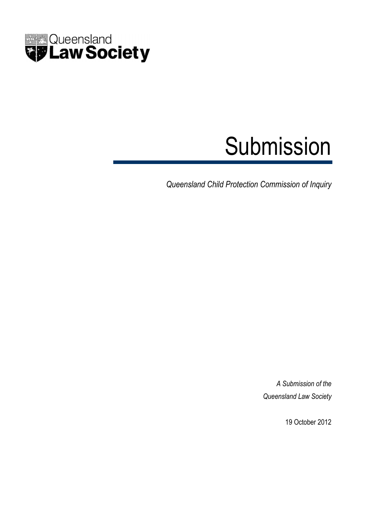

# Submission

Queensland Child Protection Commission of Inquiry

A Submission of the Queensland Law Society

19 October 2012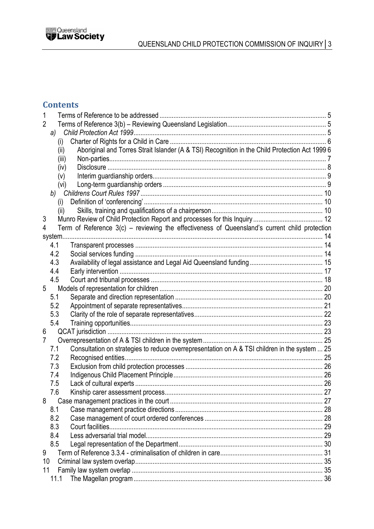

# **Contents**

| 2  |            |                                                                                                 |    |
|----|------------|-------------------------------------------------------------------------------------------------|----|
|    | a)         |                                                                                                 |    |
|    | (i)        |                                                                                                 |    |
|    | (ii)       | Aboriginal and Torres Strait Islander (A & TSI) Recognition in the Child Protection Act 1999 6  |    |
|    | (iii)      |                                                                                                 |    |
|    | (iv)       |                                                                                                 |    |
|    | (v)        |                                                                                                 |    |
|    | (vi)       |                                                                                                 |    |
|    |            |                                                                                                 |    |
|    | (i)        |                                                                                                 |    |
|    | (ii)       |                                                                                                 |    |
| 3  |            |                                                                                                 |    |
| 4  |            | Term of Reference $3(c)$ – reviewing the effectiveness of Queensland's current child protection |    |
|    | system.    |                                                                                                 |    |
|    | 4.1        |                                                                                                 |    |
|    | 4.2        |                                                                                                 |    |
|    | 4.3        |                                                                                                 |    |
|    | 4.4        |                                                                                                 |    |
|    | 4.5        |                                                                                                 |    |
| 5  |            |                                                                                                 |    |
|    | 5.1        |                                                                                                 |    |
|    | 5.2        |                                                                                                 |    |
|    | 5.3        |                                                                                                 |    |
|    | 5.4        |                                                                                                 |    |
| 6  |            |                                                                                                 |    |
| 7  |            |                                                                                                 |    |
|    | 7.1        | Consultation on strategies to reduce overrepresentation on A & TSI children in the system  25   |    |
|    | 7.2        |                                                                                                 |    |
|    | 7.3<br>7.4 |                                                                                                 |    |
|    | 7.5        |                                                                                                 |    |
|    | 7.6        | Kinship carer assessment process                                                                | 27 |
| 8  |            |                                                                                                 |    |
|    | 8.1        |                                                                                                 |    |
|    | 8.2        |                                                                                                 |    |
|    | 8.3        |                                                                                                 |    |
|    | 8.4        |                                                                                                 |    |
|    | 8.5        |                                                                                                 |    |
| 9  |            |                                                                                                 |    |
| 10 |            |                                                                                                 |    |
| 11 |            |                                                                                                 |    |
|    | 11.1       |                                                                                                 |    |
|    |            |                                                                                                 |    |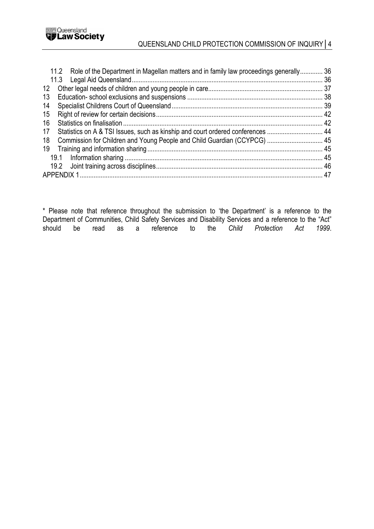

# QUEENSLAND CHILD PROTECTION COMMISSION OF INQUIRY│4

| 11.2 Role of the Department in Magellan matters and in family law proceedings generally 36 |  |  |
|--------------------------------------------------------------------------------------------|--|--|
|                                                                                            |  |  |
| 12 <sup>°</sup>                                                                            |  |  |
| 13                                                                                         |  |  |
| 14                                                                                         |  |  |
| 15                                                                                         |  |  |
| 16                                                                                         |  |  |
| Statistics on A & TSI Issues, such as kinship and court ordered conferences  44<br>17      |  |  |
| Commission for Children and Young People and Child Guardian (CCYPCG)  45<br>18             |  |  |
| 19                                                                                         |  |  |
|                                                                                            |  |  |
|                                                                                            |  |  |
|                                                                                            |  |  |

\* Please note that reference throughout the submission to 'the Department' is a reference to the Department of Communities, Child Safety Services and Disability Services and a reference to the "Act"<br>should be read as a reference to the Child Protection Act 1999. should be read as a reference to the Child Protection Act 1999.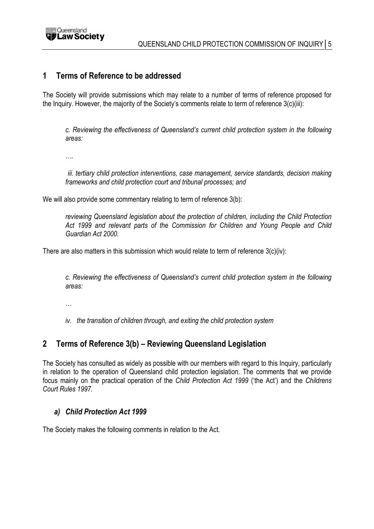

## 1 Terms of Reference to be addressed

The Society will provide submissions which may relate to a number of terms of reference proposed for the Inquiry. However, the majority of the Society's comments relate to term of reference 3(c)(iii):

c. Reviewing the effectiveness of Queensland's current child protection system in the following areas:

….

iii. tertiary child protection interventions, case management, service standards, decision making frameworks and child protection court and tribunal processes; and

We will also provide some commentary relating to term of reference  $3(b)$ :

reviewing Queensland legislation about the protection of children, including the Child Protection Act 1999 and relevant parts of the Commission for Children and Young People and Child Guardian Act 2000.

There are also matters in this submission which would relate to term of reference 3(c)(iv):

c. Reviewing the effectiveness of Queensland's current child protection system in the following areas:

…

iv. the transition of children through, and exiting the child protection system

# 2 Terms of Reference 3(b) – Reviewing Queensland Legislation

The Society has consulted as widely as possible with our members with regard to this Inquiry, particularly in relation to the operation of Queensland child protection legislation. The comments that we provide focus mainly on the practical operation of the Child Protection Act 1999 ('the Act') and the Childrens Court Rules 1997.

## a) Child Protection Act 1999

The Society makes the following comments in relation to the Act.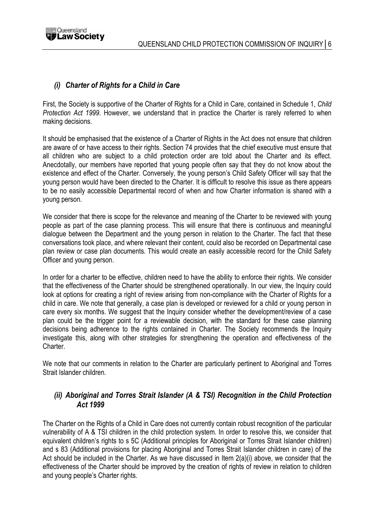

## (i) Charter of Rights for a Child in Care

First, the Society is supportive of the Charter of Rights for a Child in Care, contained in Schedule 1, Child Protection Act 1999. However, we understand that in practice the Charter is rarely referred to when making decisions.

It should be emphasised that the existence of a Charter of Rights in the Act does not ensure that children are aware of or have access to their rights. Section 74 provides that the chief executive must ensure that all children who are subject to a child protection order are told about the Charter and its effect. Anecdotally, our members have reported that young people often say that they do not know about the existence and effect of the Charter. Conversely, the young person's Child Safety Officer will say that the young person would have been directed to the Charter. It is difficult to resolve this issue as there appears to be no easily accessible Departmental record of when and how Charter information is shared with a young person.

We consider that there is scope for the relevance and meaning of the Charter to be reviewed with young people as part of the case planning process. This will ensure that there is continuous and meaningful dialogue between the Department and the young person in relation to the Charter. The fact that these conversations took place, and where relevant their content, could also be recorded on Departmental case plan review or case plan documents. This would create an easily accessible record for the Child Safety Officer and young person.

In order for a charter to be effective, children need to have the ability to enforce their rights. We consider that the effectiveness of the Charter should be strengthened operationally. In our view, the Inquiry could look at options for creating a right of review arising from non-compliance with the Charter of Rights for a child in care. We note that generally, a case plan is developed or reviewed for a child or young person in care every six months. We suggest that the Inquiry consider whether the development/review of a case plan could be the trigger point for a reviewable decision, with the standard for these case planning decisions being adherence to the rights contained in Charter. The Society recommends the Inquiry investigate this, along with other strategies for strengthening the operation and effectiveness of the Charter.

We note that our comments in relation to the Charter are particularly pertinent to Aboriginal and Torres Strait Islander children.

## (ii) Aboriginal and Torres Strait Islander (A & TSI) Recognition in the Child Protection Act 1999

The Charter on the Rights of a Child in Care does not currently contain robust recognition of the particular vulnerability of A & TSI children in the child protection system. In order to resolve this, we consider that equivalent children's rights to s 5C (Additional principles for Aboriginal or Torres Strait Islander children) and s 83 (Additional provisions for placing Aboriginal and Torres Strait Islander children in care) of the Act should be included in the Charter. As we have discussed in Item 2(a)(i) above, we consider that the effectiveness of the Charter should be improved by the creation of rights of review in relation to children and young people's Charter rights.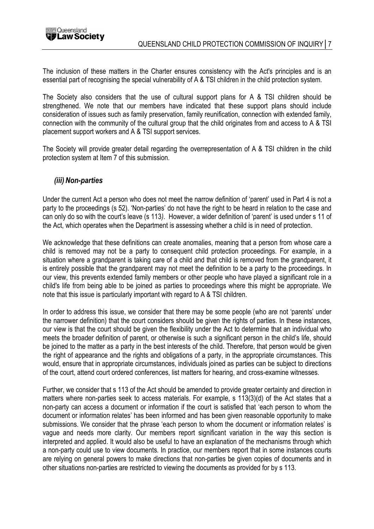

The inclusion of these matters in the Charter ensures consistency with the Act's principles and is an essential part of recognising the special vulnerability of A & TSI children in the child protection system.

The Society also considers that the use of cultural support plans for A & TSI children should be strengthened. We note that our members have indicated that these support plans should include consideration of issues such as family preservation, family reunification, connection with extended family, connection with the community of the cultural group that the child originates from and access to A & TSI placement support workers and A & TSI support services.

The Society will provide greater detail regarding the overrepresentation of A & TSI children in the child protection system at Item 7 of this submission.

#### (iii) Non-parties

Under the current Act a person who does not meet the narrow definition of 'parent' used in Part 4 is not a party to the proceedings (s 52). 'Non-parties' do not have the right to be heard in relation to the case and can only do so with the court's leave (s 113). However, a wider definition of 'parent' is used under s 11 of the Act, which operates when the Department is assessing whether a child is in need of protection.

We acknowledge that these definitions can create anomalies, meaning that a person from whose care a child is removed may not be a party to consequent child protection proceedings. For example, in a situation where a grandparent is taking care of a child and that child is removed from the grandparent, it is entirely possible that the grandparent may not meet the definition to be a party to the proceedings. In our view, this prevents extended family members or other people who have played a significant role in a child's life from being able to be joined as parties to proceedings where this might be appropriate. We note that this issue is particularly important with regard to A & TSI children.

In order to address this issue, we consider that there may be some people (who are not 'parents' under the narrower definition) that the court considers should be given the rights of parties. In these instances, our view is that the court should be given the flexibility under the Act to determine that an individual who meets the broader definition of parent, or otherwise is such a significant person in the child's life, should be joined to the matter as a party in the best interests of the child. Therefore, that person would be given the right of appearance and the rights and obligations of a party, in the appropriate circumstances. This would, ensure that in appropriate circumstances, individuals joined as parties can be subject to directions of the court, attend court ordered conferences, list matters for hearing, and cross-examine witnesses.

Further, we consider that s 113 of the Act should be amended to provide greater certainty and direction in matters where non-parties seek to access materials. For example, s 113(3)(d) of the Act states that a non-party can access a document or information if the court is satisfied that 'each person to whom the document or information relates' has been informed and has been given reasonable opportunity to make submissions. We consider that the phrase 'each person to whom the document or information relates' is vague and needs more clarity. Our members report significant variation in the way this section is interpreted and applied. It would also be useful to have an explanation of the mechanisms through which a non-party could use to view documents. In practice, our members report that in some instances courts are relying on general powers to make directions that non-parties be given copies of documents and in other situations non-parties are restricted to viewing the documents as provided for by s 113.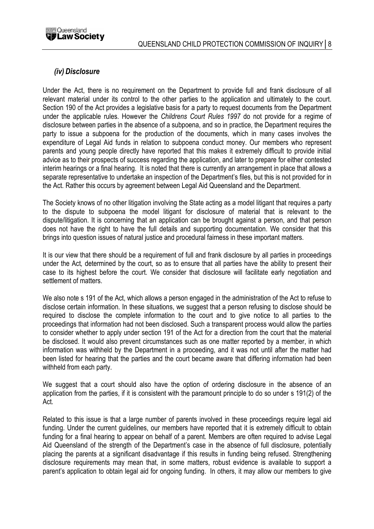

## (iv) Disclosure

Under the Act, there is no requirement on the Department to provide full and frank disclosure of all relevant material under its control to the other parties to the application and ultimately to the court. Section 190 of the Act provides a legislative basis for a party to request documents from the Department under the applicable rules. However the Childrens Court Rules 1997 do not provide for a regime of disclosure between parties in the absence of a subpoena, and so in practice, the Department requires the party to issue a subpoena for the production of the documents, which in many cases involves the expenditure of Legal Aid funds in relation to subpoena conduct money. Our members who represent parents and young people directly have reported that this makes it extremely difficult to provide initial advice as to their prospects of success regarding the application, and later to prepare for either contested interim hearings or a final hearing. It is noted that there is currently an arrangement in place that allows a separate representative to undertake an inspection of the Department's files, but this is not provided for in the Act. Rather this occurs by agreement between Legal Aid Queensland and the Department.

The Society knows of no other litigation involving the State acting as a model litigant that requires a party to the dispute to subpoena the model litigant for disclosure of material that is relevant to the dispute/litigation. It is concerning that an application can be brought against a person, and that person does not have the right to have the full details and supporting documentation. We consider that this brings into question issues of natural justice and procedural fairness in these important matters.

It is our view that there should be a requirement of full and frank disclosure by all parties in proceedings under the Act, determined by the court, so as to ensure that all parties have the ability to present their case to its highest before the court. We consider that disclosure will facilitate early negotiation and settlement of matters.

We also note s 191 of the Act, which allows a person engaged in the administration of the Act to refuse to disclose certain information. In these situations, we suggest that a person refusing to disclose should be required to disclose the complete information to the court and to give notice to all parties to the proceedings that information had not been disclosed. Such a transparent process would allow the parties to consider whether to apply under section 191 of the Act for a direction from the court that the material be disclosed. It would also prevent circumstances such as one matter reported by a member, in which information was withheld by the Department in a proceeding, and it was not until after the matter had been listed for hearing that the parties and the court became aware that differing information had been withheld from each party.

We suggest that a court should also have the option of ordering disclosure in the absence of an application from the parties, if it is consistent with the paramount principle to do so under s 191(2) of the Act.

Related to this issue is that a large number of parents involved in these proceedings require legal aid funding. Under the current guidelines, our members have reported that it is extremely difficult to obtain funding for a final hearing to appear on behalf of a parent. Members are often required to advise Legal Aid Queensland of the strength of the Department's case in the absence of full disclosure, potentially placing the parents at a significant disadvantage if this results in funding being refused. Strengthening disclosure requirements may mean that, in some matters, robust evidence is available to support a parent's application to obtain legal aid for ongoing funding. In others, it may allow our members to give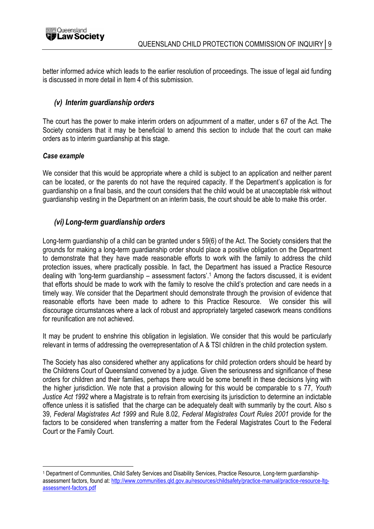

better informed advice which leads to the earlier resolution of proceedings. The issue of legal aid funding is discussed in more detail in Item 4 of this submission.

## (v) Interim guardianship orders

The court has the power to make interim orders on adjournment of a matter, under s 67 of the Act. The Society considers that it may be beneficial to amend this section to include that the court can make orders as to interim guardianship at this stage.

#### Case example

 $\overline{a}$ 

We consider that this would be appropriate where a child is subject to an application and neither parent can be located, or the parents do not have the required capacity. If the Department's application is for guardianship on a final basis, and the court considers that the child would be at unacceptable risk without guardianship vesting in the Department on an interim basis, the court should be able to make this order.

## (vi) Long-term guardianship orders

Long-term guardianship of a child can be granted under s 59(6) of the Act. The Society considers that the grounds for making a long-term guardianship order should place a positive obligation on the Department to demonstrate that they have made reasonable efforts to work with the family to address the child protection issues, where practically possible. In fact, the Department has issued a Practice Resource dealing with 'long-term guardianship – assessment factors'.<sup>1</sup> Among the factors discussed, it is evident that efforts should be made to work with the family to resolve the child's protection and care needs in a timely way. We consider that the Department should demonstrate through the provision of evidence that reasonable efforts have been made to adhere to this Practice Resource. We consider this will discourage circumstances where a lack of robust and appropriately targeted casework means conditions for reunification are not achieved.

It may be prudent to enshrine this obligation in legislation. We consider that this would be particularly relevant in terms of addressing the overrepresentation of A & TSI children in the child protection system.

The Society has also considered whether any applications for child protection orders should be heard by the Childrens Court of Queensland convened by a judge. Given the seriousness and significance of these orders for children and their families, perhaps there would be some benefit in these decisions lying with the higher jurisdiction. We note that a provision allowing for this would be comparable to s 77, Youth Justice Act 1992 where a Magistrate is to refrain from exercising its jurisdiction to determine an indictable offence unless it is satisfied that the charge can be adequately dealt with summarily by the court. Also s 39, Federal Magistrates Act 1999 and Rule 8.02, Federal Magistrates Court Rules 2001 provide for the factors to be considered when transferring a matter from the Federal Magistrates Court to the Federal Court or the Family Court.

<sup>1</sup> Department of Communities, Child Safety Services and Disability Services, Practice Resource, Long-term guardianshipassessment factors, found at: http://www.communities.qld.gov.au/resources/childsafety/practice-manual/practice-resource-ltqassessment-factors.pdf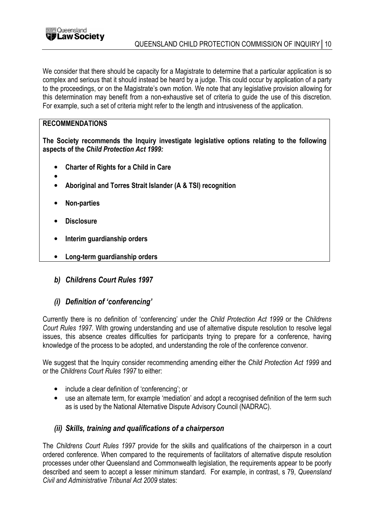

We consider that there should be capacity for a Magistrate to determine that a particular application is so complex and serious that it should instead be heard by a judge. This could occur by application of a party to the proceedings, or on the Magistrate's own motion. We note that any legislative provision allowing for this determination may benefit from a non-exhaustive set of criteria to guide the use of this discretion. For example, such a set of criteria might refer to the length and intrusiveness of the application.

## RECOMMENDATIONS

The Society recommends the Inquiry investigate legislative options relating to the following aspects of the Child Protection Act 1999:

- Charter of Rights for a Child in Care
- •
- Aboriginal and Torres Strait Islander (A & TSI) recognition
- Non-parties
- **Disclosure**
- Interim guardianship orders
- Long-term guardianship orders
- b) Childrens Court Rules 1997
- (i) Definition of 'conferencing'

Currently there is no definition of 'conferencing' under the Child Protection Act 1999 or the Childrens Court Rules 1997. With growing understanding and use of alternative dispute resolution to resolve legal issues, this absence creates difficulties for participants trying to prepare for a conference, having knowledge of the process to be adopted, and understanding the role of the conference convenor.

We suggest that the Inquiry consider recommending amending either the Child Protection Act 1999 and or the Childrens Court Rules 1997 to either:

- include a clear definition of 'conferencing'; or
- use an alternate term, for example 'mediation' and adopt a recognised definition of the term such as is used by the National Alternative Dispute Advisory Council (NADRAC).

## (ii) Skills, training and qualifications of a chairperson

The Childrens Court Rules 1997 provide for the skills and qualifications of the chairperson in a court ordered conference. When compared to the requirements of facilitators of alternative dispute resolution processes under other Queensland and Commonwealth legislation, the requirements appear to be poorly described and seem to accept a lesser minimum standard. For example, in contrast, s 79, Queensland Civil and Administrative Tribunal Act 2009 states: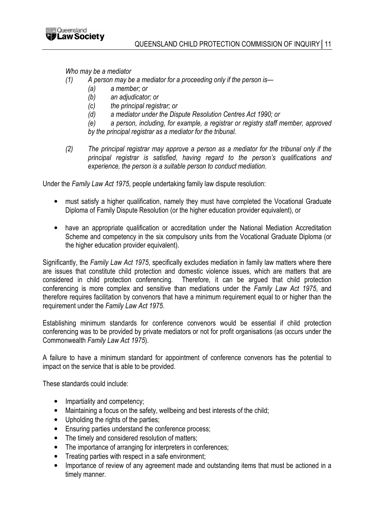

Who may be a mediator

- (1) A person may be a mediator for a proceeding only if the person is—
	- (a) a member; or
	- (b) an adjudicator; or
	- (c) the principal registrar; or
	- (d) a mediator under the Dispute Resolution Centres Act 1990; or
	- (e) a person, including, for example, a registrar or registry staff member, approved by the principal registrar as a mediator for the tribunal.
- (2) The principal registrar may approve a person as a mediator for the tribunal only if the principal registrar is satisfied, having regard to the person's qualifications and experience, the person is a suitable person to conduct mediation.

Under the Family Law Act 1975, people undertaking family law dispute resolution:

- must satisfy a higher qualification, namely they must have completed the Vocational Graduate Diploma of Family Dispute Resolution (or the higher education provider equivalent), or
- have an appropriate qualification or accreditation under the National Mediation Accreditation Scheme and competency in the six compulsory units from the Vocational Graduate Diploma (or the higher education provider equivalent).

Significantly, the Family Law Act 1975, specifically excludes mediation in family law matters where there are issues that constitute child protection and domestic violence issues, which are matters that are considered in child protection conferencing. Therefore, it can be argued that child protection conferencing is more complex and sensitive than mediations under the Family Law Act 1975, and therefore requires facilitation by convenors that have a minimum requirement equal to or higher than the requirement under the Family Law Act 1975.

Establishing minimum standards for conference convenors would be essential if child protection conferencing was to be provided by private mediators or not for profit organisations (as occurs under the Commonwealth Family Law Act 1975).

A failure to have a minimum standard for appointment of conference convenors has the potential to impact on the service that is able to be provided.

These standards could include:

- Impartiality and competency;
- Maintaining a focus on the safety, wellbeing and best interests of the child;
- Upholding the rights of the parties;
- Ensuring parties understand the conference process;
- The timely and considered resolution of matters;
- The importance of arranging for interpreters in conferences;
- Treating parties with respect in a safe environment:
- Importance of review of any agreement made and outstanding items that must be actioned in a timely manner.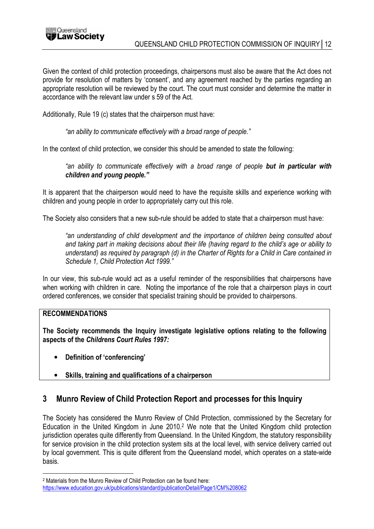

Given the context of child protection proceedings, chairpersons must also be aware that the Act does not provide for resolution of matters by 'consent', and any agreement reached by the parties regarding an appropriate resolution will be reviewed by the court. The court must consider and determine the matter in accordance with the relevant law under s 59 of the Act.

Additionally, Rule 19 (c) states that the chairperson must have:

"an ability to communicate effectively with a broad range of people."

In the context of child protection, we consider this should be amended to state the following:

"an ability to communicate effectively with a broad range of people but in particular with children and young people."

It is apparent that the chairperson would need to have the requisite skills and experience working with children and young people in order to appropriately carry out this role.

The Society also considers that a new sub-rule should be added to state that a chairperson must have:

"an understanding of child development and the importance of children being consulted about and taking part in making decisions about their life (having regard to the child's age or ability to understand) as required by paragraph (d) in the Charter of Rights for a Child in Care contained in Schedule 1, Child Protection Act 1999."

In our view, this sub-rule would act as a useful reminder of the responsibilities that chairpersons have when working with children in care. Noting the importance of the role that a chairperson plays in court ordered conferences, we consider that specialist training should be provided to chairpersons.

## RECOMMENDATIONS

 $\overline{a}$ 

The Society recommends the Inquiry investigate legislative options relating to the following aspects of the Childrens Court Rules 1997:

- Definition of 'conferencing'
- Skills, training and qualifications of a chairperson

## 3 Munro Review of Child Protection Report and processes for this Inquiry

The Society has considered the Munro Review of Child Protection, commissioned by the Secretary for Education in the United Kingdom in June 2010.<sup>2</sup> We note that the United Kingdom child protection jurisdiction operates quite differently from Queensland. In the United Kingdom, the statutory responsibility for service provision in the child protection system sits at the local level, with service delivery carried out by local government. This is quite different from the Queensland model, which operates on a state-wide basis.

<sup>2</sup> Materials from the Munro Review of Child Protection can be found here:

https://www.education.gov.uk/publications/standard/publicationDetail/Page1/CM%208062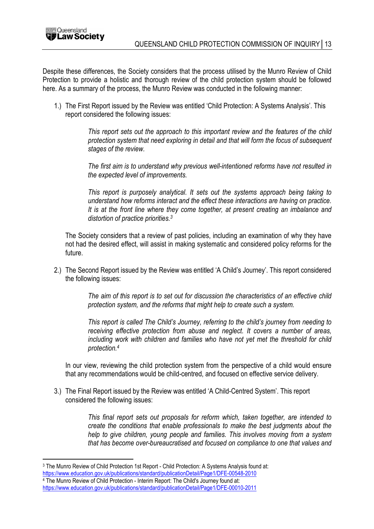Despite these differences, the Society considers that the process utilised by the Munro Review of Child Protection to provide a holistic and thorough review of the child protection system should be followed here. As a summary of the process, the Munro Review was conducted in the following manner:

1.) The First Report issued by the Review was entitled 'Child Protection: A Systems Analysis'. This report considered the following issues:

> This report sets out the approach to this important review and the features of the child protection system that need exploring in detail and that will form the focus of subsequent stages of the review.

> The first aim is to understand why previous well-intentioned reforms have not resulted in the expected level of improvements.

> This report is purposely analytical. It sets out the systems approach being taking to understand how reforms interact and the effect these interactions are having on practice. It is at the front line where they come together, at present creating an imbalance and distortion of practice priorities.<sup>3</sup>

The Society considers that a review of past policies, including an examination of why they have not had the desired effect, will assist in making systematic and considered policy reforms for the future.

2.) The Second Report issued by the Review was entitled 'A Child's Journey'. This report considered the following issues:

> The aim of this report is to set out for discussion the characteristics of an effective child protection system, and the reforms that might help to create such a system.

> This report is called The Child's Journey, referring to the child's journey from needing to receiving effective protection from abuse and neglect. It covers a number of areas, including work with children and families who have not yet met the threshold for child protection.<sup>4</sup>

In our view, reviewing the child protection system from the perspective of a child would ensure that any recommendations would be child-centred, and focused on effective service delivery.

3.) The Final Report issued by the Review was entitled 'A Child-Centred System'. This report considered the following issues:

> This final report sets out proposals for reform which, taken together, are intended to create the conditions that enable professionals to make the best judgments about the help to give children, young people and families. This involves moving from a system that has become over-bureaucratised and focused on compliance to one that values and

 $\overline{a}$ 

<sup>3</sup> The Munro Review of Child Protection 1st Report - Child Protection: A Systems Analysis found at: https://www.education.gov.uk/publications/standard/publicationDetail/Page1/DFE-00548-2010

<sup>4</sup> The Munro Review of Child Protection - Interim Report: The Child's Journey found at: https://www.education.gov.uk/publications/standard/publicationDetail/Page1/DFE-00010-2011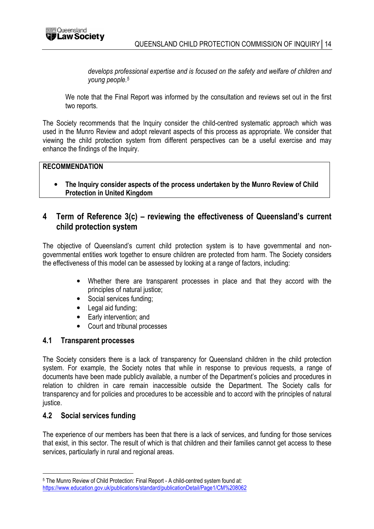

develops professional expertise and is focused on the safety and welfare of children and young people.<sup>5</sup>

We note that the Final Report was informed by the consultation and reviews set out in the first two reports.

The Society recommends that the Inquiry consider the child-centred systematic approach which was used in the Munro Review and adopt relevant aspects of this process as appropriate. We consider that viewing the child protection system from different perspectives can be a useful exercise and may enhance the findings of the Inquiry.

#### **RECOMMENDATION**

• The Inquiry consider aspects of the process undertaken by the Munro Review of Child Protection in United Kingdom

# 4 Term of Reference 3(c) – reviewing the effectiveness of Queensland's current child protection system

The objective of Queensland's current child protection system is to have governmental and nongovernmental entities work together to ensure children are protected from harm. The Society considers the effectiveness of this model can be assessed by looking at a range of factors, including:

- Whether there are transparent processes in place and that they accord with the principles of natural justice;
- Social services funding;
- Legal aid funding:
- Early intervention; and
- Court and tribunal processes

#### 4.1 Transparent processes

The Society considers there is a lack of transparency for Queensland children in the child protection system. For example, the Society notes that while in response to previous requests, a range of documents have been made publicly available, a number of the Department's policies and procedures in relation to children in care remain inaccessible outside the Department. The Society calls for transparency and for policies and procedures to be accessible and to accord with the principles of natural justice.

## 4.2 Social services funding

 $\overline{a}$ 

The experience of our members has been that there is a lack of services, and funding for those services that exist, in this sector. The result of which is that children and their families cannot get access to these services, particularly in rural and regional areas.

<sup>5</sup> The Munro Review of Child Protection: Final Report - A child-centred system found at: https://www.education.gov.uk/publications/standard/publicationDetail/Page1/CM%208062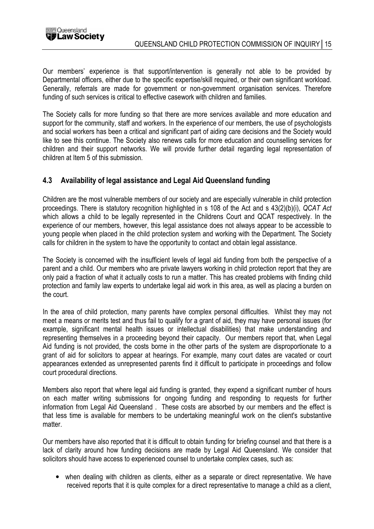

Our members' experience is that support/intervention is generally not able to be provided by Departmental officers, either due to the specific expertise/skill required, or their own significant workload. Generally, referrals are made for government or non-government organisation services. Therefore funding of such services is critical to effective casework with children and families.

The Society calls for more funding so that there are more services available and more education and support for the community, staff and workers. In the experience of our members, the use of psychologists and social workers has been a critical and significant part of aiding care decisions and the Society would like to see this continue. The Society also renews calls for more education and counselling services for children and their support networks. We will provide further detail regarding legal representation of children at Item 5 of this submission.

## 4.3 Availability of legal assistance and Legal Aid Queensland funding

Children are the most vulnerable members of our society and are especially vulnerable in child protection proceedings. There is statutory recognition highlighted in s 108 of the Act and s 43(2)(b)(i), QCAT Act which allows a child to be legally represented in the Childrens Court and QCAT respectively. In the experience of our members, however, this legal assistance does not always appear to be accessible to young people when placed in the child protection system and working with the Department. The Society calls for children in the system to have the opportunity to contact and obtain legal assistance.

The Society is concerned with the insufficient levels of legal aid funding from both the perspective of a parent and a child. Our members who are private lawyers working in child protection report that they are only paid a fraction of what it actually costs to run a matter. This has created problems with finding child protection and family law experts to undertake legal aid work in this area, as well as placing a burden on the court.

In the area of child protection, many parents have complex personal difficulties. Whilst they may not meet a means or merits test and thus fail to qualify for a grant of aid, they may have personal issues (for example, significant mental health issues or intellectual disabilities) that make understanding and representing themselves in a proceeding beyond their capacity. Our members report that, when Legal Aid funding is not provided, the costs borne in the other parts of the system are disproportionate to a grant of aid for solicitors to appear at hearings. For example, many court dates are vacated or court appearances extended as unrepresented parents find it difficult to participate in proceedings and follow court procedural directions.

Members also report that where legal aid funding is granted, they expend a significant number of hours on each matter writing submissions for ongoing funding and responding to requests for further information from Legal Aid Queensland . These costs are absorbed by our members and the effect is that less time is available for members to be undertaking meaningful work on the client's substantive matter.

Our members have also reported that it is difficult to obtain funding for briefing counsel and that there is a lack of clarity around how funding decisions are made by Legal Aid Queensland. We consider that solicitors should have access to experienced counsel to undertake complex cases, such as:

• when dealing with children as clients, either as a separate or direct representative. We have received reports that it is quite complex for a direct representative to manage a child as a client,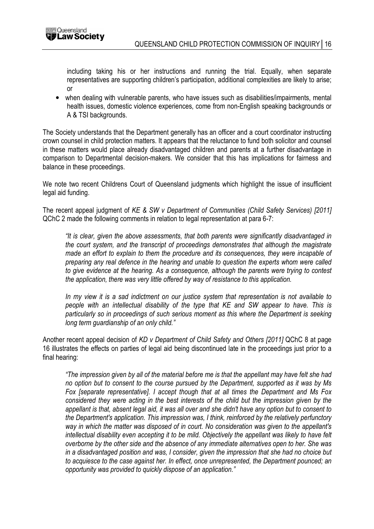including taking his or her instructions and running the trial. Equally, when separate representatives are supporting children's participation, additional complexities are likely to arise; or

• when dealing with vulnerable parents, who have issues such as disabilities/impairments, mental health issues, domestic violence experiences, come from non-English speaking backgrounds or A & TSI backgrounds.

The Society understands that the Department generally has an officer and a court coordinator instructing crown counsel in child protection matters. It appears that the reluctance to fund both solicitor and counsel in these matters would place already disadvantaged children and parents at a further disadvantage in comparison to Departmental decision-makers. We consider that this has implications for fairness and balance in these proceedings.

We note two recent Childrens Court of Queensland judgments which highlight the issue of insufficient legal aid funding.

The recent appeal judgment of KE & SW v Department of Communities (Child Safety Services) [2011] QChC 2 made the following comments in relation to legal representation at para 6-7:

"It is clear, given the above assessments, that both parents were significantly disadvantaged in the court system, and the transcript of proceedings demonstrates that although the magistrate made an effort to explain to them the procedure and its consequences, they were incapable of preparing any real defence in the hearing and unable to question the experts whom were called to give evidence at the hearing. As a consequence, although the parents were trying to contest the application, there was very little offered by way of resistance to this application.

In my view it is a sad indictment on our justice system that representation is not available to people with an intellectual disability of the type that KE and SW appear to have. This is particularly so in proceedings of such serious moment as this where the Department is seeking long term guardianship of an only child."

Another recent appeal decision of KD v Department of Child Safety and Others [2011] QChC 8 at page 16 illustrates the effects on parties of legal aid being discontinued late in the proceedings just prior to a final hearing:

"The impression given by all of the material before me is that the appellant may have felt she had no option but to consent to the course pursued by the Department, supported as it was by Ms Fox [separate representative]. I accept though that at all times the Department and Ms Fox considered they were acting in the best interests of the child but the impression given by the appellant is that, absent legal aid, it was all over and she didn't have any option but to consent to the Department's application. This impression was, I think, reinforced by the relatively perfunctory way in which the matter was disposed of in court. No consideration was given to the appellant's intellectual disability even accepting it to be mild. Objectively the appellant was likely to have felt overborne by the other side and the absence of any immediate alternatives open to her. She was in a disadvantaged position and was, I consider, given the impression that she had no choice but to acquiesce to the case against her. In effect, once unrepresented, the Department pounced; an opportunity was provided to quickly dispose of an application."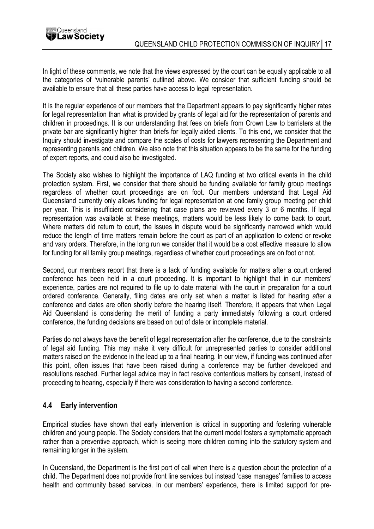In light of these comments, we note that the views expressed by the court can be equally applicable to all the categories of 'vulnerable parents' outlined above. We consider that sufficient funding should be available to ensure that all these parties have access to legal representation.

It is the regular experience of our members that the Department appears to pay significantly higher rates for legal representation than what is provided by grants of legal aid for the representation of parents and children in proceedings. It is our understanding that fees on briefs from Crown Law to barristers at the private bar are significantly higher than briefs for legally aided clients. To this end, we consider that the Inquiry should investigate and compare the scales of costs for lawyers representing the Department and representing parents and children. We also note that this situation appears to be the same for the funding of expert reports, and could also be investigated.

The Society also wishes to highlight the importance of LAQ funding at two critical events in the child protection system. First, we consider that there should be funding available for family group meetings regardless of whether court proceedings are on foot. Our members understand that Legal Aid Queensland currently only allows funding for legal representation at one family group meeting per child per year. This is insufficient considering that case plans are reviewed every 3 or 6 months. If legal representation was available at these meetings, matters would be less likely to come back to court. Where matters did return to court, the issues in dispute would be significantly narrowed which would reduce the length of time matters remain before the court as part of an application to extend or revoke and vary orders. Therefore, in the long run we consider that it would be a cost effective measure to allow for funding for all family group meetings, regardless of whether court proceedings are on foot or not.

Second, our members report that there is a lack of funding available for matters after a court ordered conference has been held in a court proceeding. It is important to highlight that in our members' experience, parties are not required to file up to date material with the court in preparation for a court ordered conference. Generally, filing dates are only set when a matter is listed for hearing after a conference and dates are often shortly before the hearing itself. Therefore, it appears that when Legal Aid Queensland is considering the merit of funding a party immediately following a court ordered conference, the funding decisions are based on out of date or incomplete material.

Parties do not always have the benefit of legal representation after the conference, due to the constraints of legal aid funding. This may make it very difficult for unrepresented parties to consider additional matters raised on the evidence in the lead up to a final hearing. In our view, if funding was continued after this point, often issues that have been raised during a conference may be further developed and resolutions reached. Further legal advice may in fact resolve contentious matters by consent, instead of proceeding to hearing, especially if there was consideration to having a second conference.

## 4.4 Early intervention

Empirical studies have shown that early intervention is critical in supporting and fostering vulnerable children and young people. The Society considers that the current model fosters a symptomatic approach rather than a preventive approach, which is seeing more children coming into the statutory system and remaining longer in the system.

In Queensland, the Department is the first port of call when there is a question about the protection of a child. The Department does not provide front line services but instead 'case manages' families to access health and community based services. In our members' experience, there is limited support for pre-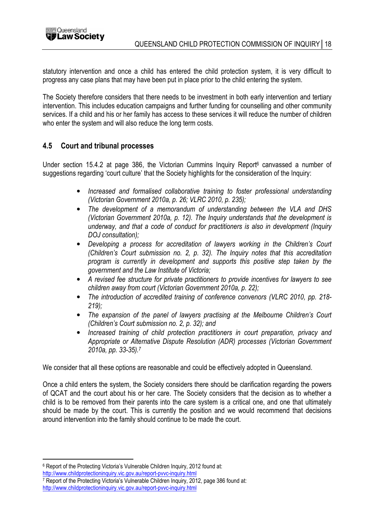

statutory intervention and once a child has entered the child protection system, it is very difficult to progress any case plans that may have been put in place prior to the child entering the system.

The Society therefore considers that there needs to be investment in both early intervention and tertiary intervention. This includes education campaigns and further funding for counselling and other community services. If a child and his or her family has access to these services it will reduce the number of children who enter the system and will also reduce the long term costs.

## 4.5 Court and tribunal processes

Under section 15.4.2 at page 386, the Victorian Cummins Inquiry Report<sup>6</sup> canvassed a number of suggestions regarding 'court culture' that the Society highlights for the consideration of the Inquiry:

- Increased and formalised collaborative training to foster professional understanding (Victorian Government 2010a, p. 26; VLRC 2010, p. 235);
- The development of a memorandum of understanding between the VLA and DHS (Victorian Government 2010a, p. 12). The Inquiry understands that the development is underway, and that a code of conduct for practitioners is also in development (Inquiry DOJ consultation);
- Developing a process for accreditation of lawyers working in the Children's Court (Children's Court submission no. 2, p. 32). The Inquiry notes that this accreditation program is currently in development and supports this positive step taken by the government and the Law Institute of Victoria;
- A revised fee structure for private practitioners to provide incentives for lawyers to see children away from court (Victorian Government 2010a, p. 22);
- The introduction of accredited training of conference convenors (VLRC 2010, pp. 218- $219$ ;
- The expansion of the panel of lawyers practising at the Melbourne Children's Court (Children's Court submission no. 2, p. 32); and
- Increased training of child protection practitioners in court preparation, privacy and Appropriate or Alternative Dispute Resolution (ADR) processes (Victorian Government 2010a, pp. 33-35).<sup>7</sup>

We consider that all these options are reasonable and could be effectively adopted in Queensland.

Once a child enters the system, the Society considers there should be clarification regarding the powers of QCAT and the court about his or her care. The Society considers that the decision as to whether a child is to be removed from their parents into the care system is a critical one, and one that ultimately should be made by the court. This is currently the position and we would recommend that decisions around intervention into the family should continue to be made the court.

 $\overline{a}$ 

<sup>6</sup> Report of the Protecting Victoria's Vulnerable Children Inquiry, 2012 found at:

http://www.childprotectioninquiry.vic.gov.au/report-pvvc-inquiry.html

<sup>7</sup> Report of the Protecting Victoria's Vulnerable Children Inquiry, 2012, page 386 found at: http://www.childprotectioninquiry.vic.gov.au/report-pvvc-inquiry.html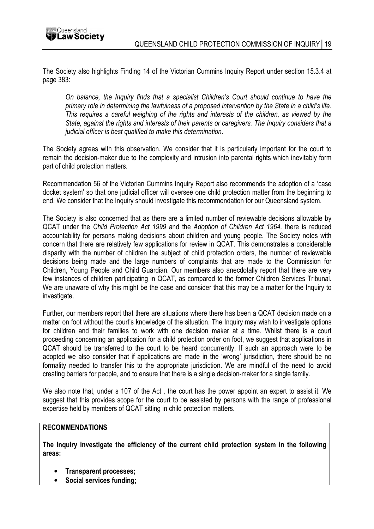The Society also highlights Finding 14 of the Victorian Cummins Inquiry Report under section 15.3.4 at page 383:

On balance, the Inquiry finds that a specialist Children's Court should continue to have the primary role in determining the lawfulness of a proposed intervention by the State in a child's life. This requires a careful weighing of the rights and interests of the children, as viewed by the State, against the rights and interests of their parents or caregivers. The Inquiry considers that a judicial officer is best qualified to make this determination.

The Society agrees with this observation. We consider that it is particularly important for the court to remain the decision-maker due to the complexity and intrusion into parental rights which inevitably form part of child protection matters.

Recommendation 56 of the Victorian Cummins Inquiry Report also recommends the adoption of a 'case docket system' so that one judicial officer will oversee one child protection matter from the beginning to end. We consider that the Inquiry should investigate this recommendation for our Queensland system.

The Society is also concerned that as there are a limited number of reviewable decisions allowable by QCAT under the Child Protection Act 1999 and the Adoption of Children Act 1964, there is reduced accountability for persons making decisions about children and young people. The Society notes with concern that there are relatively few applications for review in QCAT. This demonstrates a considerable disparity with the number of children the subject of child protection orders, the number of reviewable decisions being made and the large numbers of complaints that are made to the Commission for Children, Young People and Child Guardian. Our members also anecdotally report that there are very few instances of children participating in QCAT, as compared to the former Children Services Tribunal. We are unaware of why this might be the case and consider that this may be a matter for the Inquiry to investigate.

Further, our members report that there are situations where there has been a QCAT decision made on a matter on foot without the court's knowledge of the situation. The Inquiry may wish to investigate options for children and their families to work with one decision maker at a time. Whilst there is a court proceeding concerning an application for a child protection order on foot, we suggest that applications in QCAT should be transferred to the court to be heard concurrently. If such an approach were to be adopted we also consider that if applications are made in the 'wrong' jurisdiction, there should be no formality needed to transfer this to the appropriate jurisdiction. We are mindful of the need to avoid creating barriers for people, and to ensure that there is a single decision-maker for a single family.

We also note that, under s 107 of the Act , the court has the power appoint an expert to assist it. We suggest that this provides scope for the court to be assisted by persons with the range of professional expertise held by members of QCAT sitting in child protection matters.

#### RECOMMENDATIONS

The Inquiry investigate the efficiency of the current child protection system in the following areas:

- Transparent processes;
- Social services funding;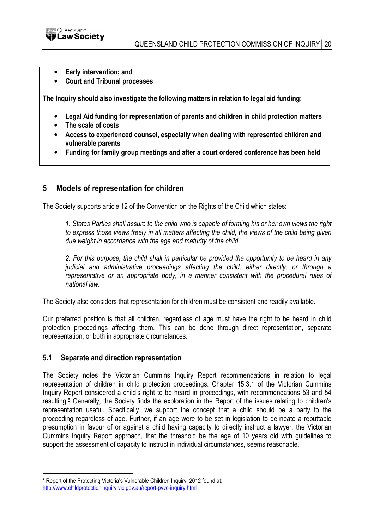

- Early intervention: and
- Court and Tribunal processes

The Inquiry should also investigate the following matters in relation to legal aid funding:

- Legal Aid funding for representation of parents and children in child protection matters
- The scale of costs
- Access to experienced counsel, especially when dealing with represented children and vulnerable parents
- Funding for family group meetings and after a court ordered conference has been held

## 5 Models of representation for children

The Society supports article 12 of the Convention on the Rights of the Child which states:

1. States Parties shall assure to the child who is capable of forming his or her own views the right to express those views freely in all matters affecting the child, the views of the child being given due weight in accordance with the age and maturity of the child.

2. For this purpose, the child shall in particular be provided the opportunity to be heard in any judicial and administrative proceedings affecting the child, either directly, or through a representative or an appropriate body, in a manner consistent with the procedural rules of national law.

The Society also considers that representation for children must be consistent and readily available.

Our preferred position is that all children, regardless of age must have the right to be heard in child protection proceedings affecting them. This can be done through direct representation, separate representation, or both in appropriate circumstances.

#### 5.1 Separate and direction representation

The Society notes the Victorian Cummins Inquiry Report recommendations in relation to legal representation of children in child protection proceedings. Chapter 15.3.1 of the Victorian Cummins Inquiry Report considered a child's right to be heard in proceedings, with recommendations 53 and 54 resulting.<sup>8</sup> Generally, the Society finds the exploration in the Report of the issues relating to children's representation useful. Specifically, we support the concept that a child should be a party to the proceeding regardless of age. Further, if an age were to be set in legislation to delineate a rebuttable presumption in favour of or against a child having capacity to directly instruct a lawyer, the Victorian Cummins Inquiry Report approach, that the threshold be the age of 10 years old with guidelines to support the assessment of capacity to instruct in individual circumstances, seems reasonable.

 $\overline{a}$ 

<sup>&</sup>lt;sup>8</sup> Report of the Protecting Victoria's Vulnerable Children Inquiry, 2012 found at:

http://www.childprotectioninquiry.vic.gov.au/report-pvvc-inquiry.html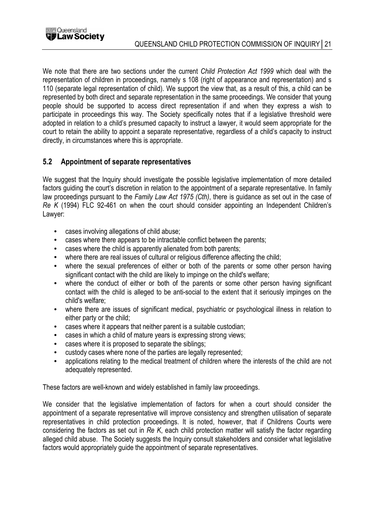We note that there are two sections under the current Child Protection Act 1999 which deal with the representation of children in proceedings, namely s 108 (right of appearance and representation) and s 110 (separate legal representation of child). We support the view that, as a result of this, a child can be represented by both direct and separate representation in the same proceedings. We consider that young people should be supported to access direct representation if and when they express a wish to participate in proceedings this way. The Society specifically notes that if a legislative threshold were adopted in relation to a child's presumed capacity to instruct a lawyer, it would seem appropriate for the court to retain the ability to appoint a separate representative, regardless of a child's capacity to instruct directly, in circumstances where this is appropriate.

## 5.2 Appointment of separate representatives

We suggest that the Inquiry should investigate the possible legislative implementation of more detailed factors guiding the court's discretion in relation to the appointment of a separate representative. In family law proceedings pursuant to the Family Law Act 1975 (Cth), there is quidance as set out in the case of Re K (1994) FLC 92-461 on when the court should consider appointing an Independent Children's Lawyer:

- cases involving allegations of child abuse;
- cases where there appears to be intractable conflict between the parents;
- cases where the child is apparently alienated from both parents;
- where there are real issues of cultural or religious difference affecting the child;
- where the sexual preferences of either or both of the parents or some other person having significant contact with the child are likely to impinge on the child's welfare;
- where the conduct of either or both of the parents or some other person having significant contact with the child is alleged to be anti-social to the extent that it seriously impinges on the child's welfare;
- where there are issues of significant medical, psychiatric or psychological illness in relation to either party or the child;
- cases where it appears that neither parent is a suitable custodian;
- cases in which a child of mature years is expressing strong views;
- cases where it is proposed to separate the siblings;
- custody cases where none of the parties are legally represented;
- applications relating to the medical treatment of children where the interests of the child are not adequately represented.

These factors are well-known and widely established in family law proceedings.

We consider that the legislative implementation of factors for when a court should consider the appointment of a separate representative will improve consistency and strengthen utilisation of separate representatives in child protection proceedings. It is noted, however, that if Childrens Courts were considering the factors as set out in Re K, each child protection matter will satisfy the factor regarding alleged child abuse. The Society suggests the Inquiry consult stakeholders and consider what legislative factors would appropriately guide the appointment of separate representatives.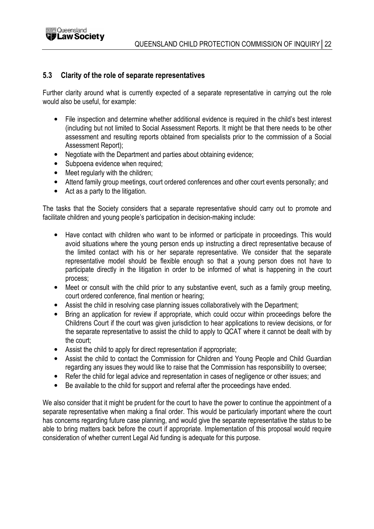

## 5.3 Clarity of the role of separate representatives

Further clarity around what is currently expected of a separate representative in carrying out the role would also be useful, for example:

- File inspection and determine whether additional evidence is required in the child's best interest (including but not limited to Social Assessment Reports. It might be that there needs to be other assessment and resulting reports obtained from specialists prior to the commission of a Social Assessment Report);
- Negotiate with the Department and parties about obtaining evidence;
- Subpoena evidence when required;
- Meet regularly with the children:
- Attend family group meetings, court ordered conferences and other court events personally; and
- Act as a party to the litigation.

The tasks that the Society considers that a separate representative should carry out to promote and facilitate children and young people's participation in decision-making include:

- Have contact with children who want to be informed or participate in proceedings. This would avoid situations where the young person ends up instructing a direct representative because of the limited contact with his or her separate representative. We consider that the separate representative model should be flexible enough so that a young person does not have to participate directly in the litigation in order to be informed of what is happening in the court process;
- Meet or consult with the child prior to any substantive event, such as a family group meeting, court ordered conference, final mention or hearing;
- Assist the child in resolving case planning issues collaboratively with the Department;
- Bring an application for review if appropriate, which could occur within proceedings before the Childrens Court if the court was given jurisdiction to hear applications to review decisions, or for the separate representative to assist the child to apply to QCAT where it cannot be dealt with by the court;
- Assist the child to apply for direct representation if appropriate;
- Assist the child to contact the Commission for Children and Young People and Child Guardian regarding any issues they would like to raise that the Commission has responsibility to oversee;
- Refer the child for legal advice and representation in cases of negligence or other issues; and
- Be available to the child for support and referral after the proceedings have ended.

We also consider that it might be prudent for the court to have the power to continue the appointment of a separate representative when making a final order. This would be particularly important where the court has concerns regarding future case planning, and would give the separate representative the status to be able to bring matters back before the court if appropriate. Implementation of this proposal would require consideration of whether current Legal Aid funding is adequate for this purpose.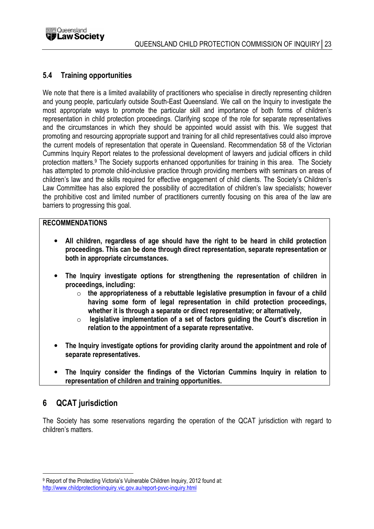



## 5.4 Training opportunities

We note that there is a limited availability of practitioners who specialise in directly representing children and young people, particularly outside South-East Queensland. We call on the Inquiry to investigate the most appropriate ways to promote the particular skill and importance of both forms of children's representation in child protection proceedings. Clarifying scope of the role for separate representatives and the circumstances in which they should be appointed would assist with this. We suggest that promoting and resourcing appropriate support and training for all child representatives could also improve the current models of representation that operate in Queensland. Recommendation 58 of the Victorian Cummins Inquiry Report relates to the professional development of lawyers and judicial officers in child protection matters.<sup>9</sup> The Society supports enhanced opportunities for training in this area. The Society has attempted to promote child-inclusive practice through providing members with seminars on areas of children's law and the skills required for effective engagement of child clients. The Society's Children's Law Committee has also explored the possibility of accreditation of children's law specialists; however the prohibitive cost and limited number of practitioners currently focusing on this area of the law are barriers to progressing this goal.

#### RECOMMENDATIONS

- All children, regardless of age should have the right to be heard in child protection proceedings. This can be done through direct representation, separate representation or both in appropriate circumstances.
- The Inquiry investigate options for strengthening the representation of children in proceedings, including:
	- $\circ$  the appropriateness of a rebuttable legislative presumption in favour of a child having some form of legal representation in child protection proceedings, whether it is through a separate or direct representative; or alternatively,
	- $\circ$  legislative implementation of a set of factors guiding the Court's discretion in relation to the appointment of a separate representative.
- The Inquiry investigate options for providing clarity around the appointment and role of separate representatives.
- The Inquiry consider the findings of the Victorian Cummins Inquiry in relation to representation of children and training opportunities.

# 6 QCAT jurisdiction

 $\overline{a}$ 

The Society has some reservations regarding the operation of the QCAT jurisdiction with regard to children's matters.

<sup>9</sup> Report of the Protecting Victoria's Vulnerable Children Inquiry, 2012 found at:

http://www.childprotectioninquiry.vic.gov.au/report-pvvc-inquiry.html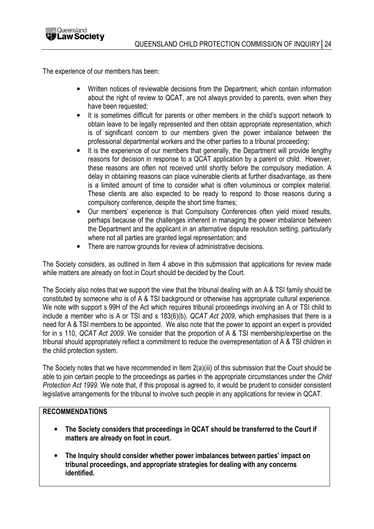

The experience of our members has been:

- Written notices of reviewable decisions from the Department, which contain information about the right of review to QCAT, are not always provided to parents, even when they have been requested;
- It is sometimes difficult for parents or other members in the child's support network to obtain leave to be legally represented and then obtain appropriate representation, which is of significant concern to our members given the power imbalance between the professional departmental workers and the other parties to a tribunal proceeding;
- It is the experience of our members that generally, the Department will provide lengthy reasons for decision in response to a QCAT application by a parent or child. However, these reasons are often not received until shortly before the compulsory mediation. A delay in obtaining reasons can place vulnerable clients at further disadvantage, as there is a limited amount of time to consider what is often voluminous or complex material. These clients are also expected to be ready to respond to those reasons during a compulsory conference, despite the short time frames;
- Our members' experience is that Compulsory Conferences often yield mixed results, perhaps because of the challenges inherent in managing the power imbalance between the Department and the applicant in an alternative dispute resolution setting, particularly where not all parties are granted legal representation; and
- There are narrow grounds for review of administrative decisions.

The Society considers, as outlined in Item 4 above in this submission that applications for review made while matters are already on foot in Court should be decided by the Court.

The Society also notes that we support the view that the tribunal dealing with an A & TSI family should be constituted by someone who is of A & TSI background or otherwise has appropriate cultural experience. We note with support s 99H of the Act which requires tribunal proceedings involving an A or TSI child to include a member who is A or TSI and s 183(6)(b), QCAT Act 2009, which emphasises that there is a need for A & TSI members to be appointed. We also note that the power to appoint an expert is provided for in s 110, QCAT Act 2009. We consider that the proportion of A & TSI membership/expertise on the tribunal should appropriately reflect a commitment to reduce the overrepresentation of A & TSI children in the child protection system.

The Society notes that we have recommended in Item 2(a)(iii) of this submission that the Court should be able to join certain people to the proceedings as parties in the appropriate circumstances under the Child Protection Act 1999. We note that, if this proposal is agreed to, it would be prudent to consider consistent legislative arrangements for the tribunal to involve such people in any applications for review in QCAT.

## RECOMMENDATIONS

- The Society considers that proceedings in QCAT should be transferred to the Court if matters are already on foot in court.
- The Inquiry should consider whether power imbalances between parties' impact on tribunal proceedings, and appropriate strategies for dealing with any concerns identified.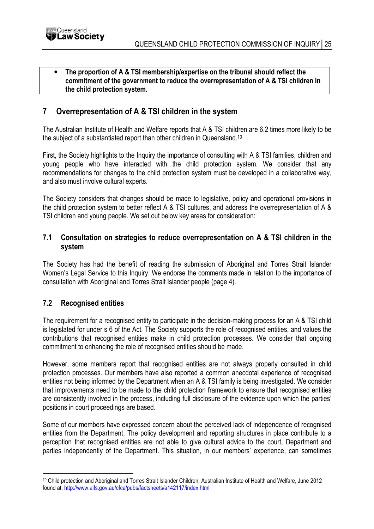

#### The proportion of A & TSI membership/expertise on the tribunal should reflect the commitment of the government to reduce the overrepresentation of A & TSI children in the child protection system.

# 7 Overrepresentation of A & TSI children in the system

The Australian Institute of Health and Welfare reports that A & TSI children are 6.2 times more likely to be the subject of a substantiated report than other children in Queensland.<sup>10</sup>

First, the Society highlights to the Inquiry the importance of consulting with A & TSI families, children and young people who have interacted with the child protection system. We consider that any recommendations for changes to the child protection system must be developed in a collaborative way, and also must involve cultural experts.

The Society considers that changes should be made to legislative, policy and operational provisions in the child protection system to better reflect A & TSI cultures, and address the overrepresentation of A & TSI children and young people. We set out below key areas for consideration:

## 7.1 Consultation on strategies to reduce overrepresentation on A & TSI children in the system

The Society has had the benefit of reading the submission of Aboriginal and Torres Strait Islander Women's Legal Service to this Inquiry. We endorse the comments made in relation to the importance of consultation with Aboriginal and Torres Strait Islander people (page 4).

# 7.2 Recognised entities

 $\overline{a}$ 

The requirement for a recognised entity to participate in the decision-making process for an A & TSI child is legislated for under s 6 of the Act. The Society supports the role of recognised entities, and values the contributions that recognised entities make in child protection processes. We consider that ongoing commitment to enhancing the role of recognised entities should be made.

However, some members report that recognised entities are not always properly consulted in child protection processes. Our members have also reported a common anecdotal experience of recognised entities not being informed by the Department when an A & TSI family is being investigated. We consider that improvements need to be made to the child protection framework to ensure that recognised entities are consistently involved in the process, including full disclosure of the evidence upon which the parties' positions in court proceedings are based.

Some of our members have expressed concern about the perceived lack of independence of recognised entities from the Department. The policy development and reporting structures in place contribute to a perception that recognised entities are not able to give cultural advice to the court, Department and parties independently of the Department. This situation, in our members' experience, can sometimes

<sup>10</sup> Child protection and Aboriginal and Torres Strait Islander Children, Australian Institute of Health and Welfare, June 2012 found at: http://www.aifs.gov.au/cfca/pubs/factsheets/a142117/index.html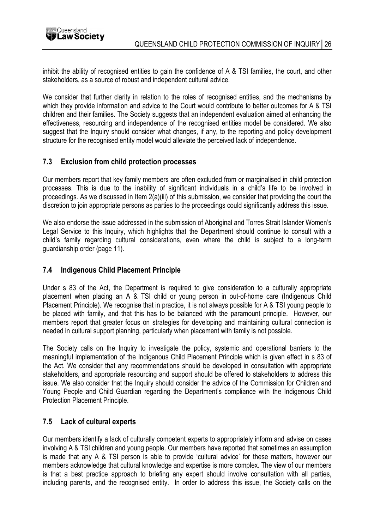

inhibit the ability of recognised entities to gain the confidence of A & TSI families, the court, and other stakeholders, as a source of robust and independent cultural advice.

We consider that further clarity in relation to the roles of recognised entities, and the mechanisms by which they provide information and advice to the Court would contribute to better outcomes for A & TSI children and their families. The Society suggests that an independent evaluation aimed at enhancing the effectiveness, resourcing and independence of the recognised entities model be considered. We also suggest that the Inquiry should consider what changes, if any, to the reporting and policy development structure for the recognised entity model would alleviate the perceived lack of independence.

## 7.3 Exclusion from child protection processes

Our members report that key family members are often excluded from or marginalised in child protection processes. This is due to the inability of significant individuals in a child's life to be involved in proceedings. As we discussed in Item 2(a)(iii) of this submission, we consider that providing the court the discretion to join appropriate persons as parties to the proceedings could significantly address this issue.

We also endorse the issue addressed in the submission of Aboriginal and Torres Strait Islander Women's Legal Service to this Inquiry, which highlights that the Department should continue to consult with a child's family regarding cultural considerations, even where the child is subject to a long-term guardianship order (page 11).

## 7.4 Indigenous Child Placement Principle

Under s 83 of the Act, the Department is required to give consideration to a culturally appropriate placement when placing an A & TSI child or young person in out-of-home care (Indigenous Child Placement Principle). We recognise that in practice, it is not always possible for A & TSI young people to be placed with family, and that this has to be balanced with the paramount principle. However, our members report that greater focus on strategies for developing and maintaining cultural connection is needed in cultural support planning, particularly when placement with family is not possible.

The Society calls on the Inquiry to investigate the policy, systemic and operational barriers to the meaningful implementation of the Indigenous Child Placement Principle which is given effect in s 83 of the Act. We consider that any recommendations should be developed in consultation with appropriate stakeholders, and appropriate resourcing and support should be offered to stakeholders to address this issue. We also consider that the Inquiry should consider the advice of the Commission for Children and Young People and Child Guardian regarding the Department's compliance with the Indigenous Child Protection Placement Principle.

#### 7.5 Lack of cultural experts

Our members identify a lack of culturally competent experts to appropriately inform and advise on cases involving A & TSI children and young people. Our members have reported that sometimes an assumption is made that any A & TSI person is able to provide 'cultural advice' for these matters, however our members acknowledge that cultural knowledge and expertise is more complex. The view of our members is that a best practice approach to briefing any expert should involve consultation with all parties, including parents, and the recognised entity. In order to address this issue, the Society calls on the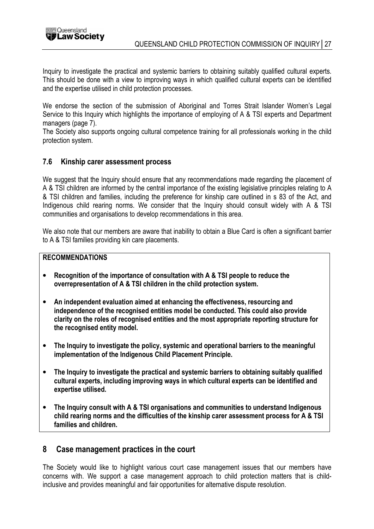

Inquiry to investigate the practical and systemic barriers to obtaining suitably qualified cultural experts. This should be done with a view to improving ways in which qualified cultural experts can be identified and the expertise utilised in child protection processes.

We endorse the section of the submission of Aboriginal and Torres Strait Islander Women's Legal Service to this Inquiry which highlights the importance of employing of A & TSI experts and Department managers (page 7).

The Society also supports ongoing cultural competence training for all professionals working in the child protection system.

## 7.6 Kinship carer assessment process

We suggest that the Inquiry should ensure that any recommendations made regarding the placement of A & TSI children are informed by the central importance of the existing legislative principles relating to A & TSI children and families, including the preference for kinship care outlined in s 83 of the Act, and Indigenous child rearing norms. We consider that the Inquiry should consult widely with A & TSI communities and organisations to develop recommendations in this area.

We also note that our members are aware that inability to obtain a Blue Card is often a significant barrier to A & TSI families providing kin care placements.

#### RECOMMENDATIONS

- Recognition of the importance of consultation with A & TSI people to reduce the overrepresentation of A & TSI children in the child protection system.
- An independent evaluation aimed at enhancing the effectiveness, resourcing and independence of the recognised entities model be conducted. This could also provide clarity on the roles of recognised entities and the most appropriate reporting structure for the recognised entity model.
- The Inquiry to investigate the policy, systemic and operational barriers to the meaningful implementation of the Indigenous Child Placement Principle.
- The Inquiry to investigate the practical and systemic barriers to obtaining suitably qualified cultural experts, including improving ways in which cultural experts can be identified and expertise utilised.
- The Inquiry consult with A & TSI organisations and communities to understand Indigenous child rearing norms and the difficulties of the kinship carer assessment process for A & TSI families and children.

## 8 Case management practices in the court

The Society would like to highlight various court case management issues that our members have concerns with. We support a case management approach to child protection matters that is childinclusive and provides meaningful and fair opportunities for alternative dispute resolution.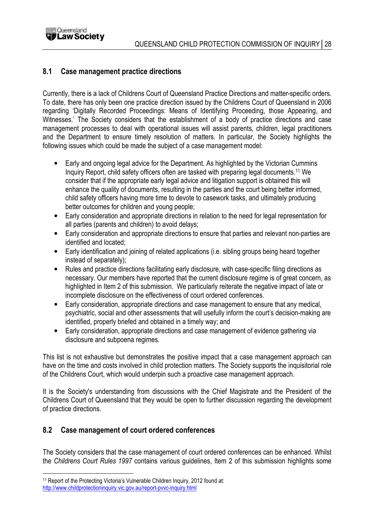

## 8.1 Case management practice directions

Currently, there is a lack of Childrens Court of Queensland Practice Directions and matter-specific orders. To date, there has only been one practice direction issued by the Childrens Court of Queensland in 2006 regarding 'Digitally Recorded Proceedings: Means of Identifying Proceeding, those Appearing, and Witnesses.' The Society considers that the establishment of a body of practice directions and case management processes to deal with operational issues will assist parents, children, legal practitioners and the Department to ensure timely resolution of matters. In particular, the Society highlights the following issues which could be made the subject of a case management model:

- Early and ongoing legal advice for the Department. As highlighted by the Victorian Cummins Inquiry Report, child safety officers often are tasked with preparing legal documents.<sup>11</sup> We consider that if the appropriate early legal advice and litigation support is obtained this will enhance the quality of documents, resulting in the parties and the court being better informed, child safety officers having more time to devote to casework tasks, and ultimately producing better outcomes for children and young people;
- Early consideration and appropriate directions in relation to the need for legal representation for all parties (parents and children) to avoid delays;
- Early consideration and appropriate directions to ensure that parties and relevant non-parties are identified and located;
- Early identification and joining of related applications (i.e. sibling groups being heard together instead of separately);
- Rules and practice directions facilitating early disclosure, with case-specific filing directions as necessary. Our members have reported that the current disclosure regime is of great concern, as highlighted in Item 2 of this submission. We particularly reiterate the negative impact of late or incomplete disclosure on the effectiveness of court ordered conferences.
- Early consideration, appropriate directions and case management to ensure that any medical, psychiatric, social and other assessments that will usefully inform the court's decision-making are identified, properly briefed and obtained in a timely way; and
- Early consideration, appropriate directions and case management of evidence gathering via disclosure and subpoena regimes.

This list is not exhaustive but demonstrates the positive impact that a case management approach can have on the time and costs involved in child protection matters. The Society supports the inquisitorial role of the Childrens Court, which would underpin such a proactive case management approach.

It is the Society's understanding from discussions with the Chief Magistrate and the President of the Childrens Court of Queensland that they would be open to further discussion regarding the development of practice directions.

## 8.2 Case management of court ordered conferences

The Society considers that the case management of court ordered conferences can be enhanced. Whilst the Childrens Court Rules 1997 contains various guidelines, Item 2 of this submission highlights some

http://www.childprotectioninquiry.vic.gov.au/report-pvvc-inquiry.html

 $\overline{a}$ 11 Report of the Protecting Victoria's Vulnerable Children Inquiry, 2012 found at: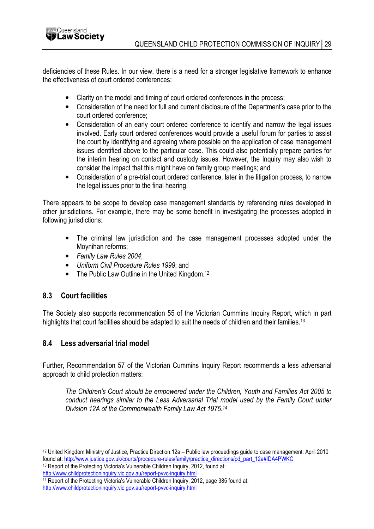deficiencies of these Rules. In our view, there is a need for a stronger legislative framework to enhance the effectiveness of court ordered conferences:

- Clarity on the model and timing of court ordered conferences in the process;
- Consideration of the need for full and current disclosure of the Department's case prior to the court ordered conference;
- Consideration of an early court ordered conference to identify and narrow the legal issues involved. Early court ordered conferences would provide a useful forum for parties to assist the court by identifying and agreeing where possible on the application of case management issues identified above to the particular case. This could also potentially prepare parties for the interim hearing on contact and custody issues. However, the Inquiry may also wish to consider the impact that this might have on family group meetings; and
- Consideration of a pre-trial court ordered conference, later in the litigation process, to narrow the legal issues prior to the final hearing.

There appears to be scope to develop case management standards by referencing rules developed in other jurisdictions. For example, there may be some benefit in investigating the processes adopted in following jurisdictions:

- The criminal law jurisdiction and the case management processes adopted under the Moynihan reforms;
- Family Law Rules 2004;
- Uniform Civil Procedure Rules 1999; and
- The Public Law Outline in the United Kingdom.<sup>12</sup>

## 8.3 Court facilities

The Society also supports recommendation 55 of the Victorian Cummins Inquiry Report, which in part highlights that court facilities should be adapted to suit the needs of children and their families.<sup>13</sup>

## 8.4 Less adversarial trial model

Further, Recommendation 57 of the Victorian Cummins Inquiry Report recommends a less adversarial approach to child protection matters:

The Children's Court should be empowered under the Children, Youth and Families Act 2005 to conduct hearings similar to the Less Adversarial Trial model used by the Family Court under Division 12A of the Commonwealth Family Law Act 1975.<sup>14</sup>

 $\overline{a}$ <sup>12</sup> United Kingdom Ministry of Justice, Practice Direction 12a – Public law proceedings guide to case management: April 2010 found at: http://www.justice.gov.uk/courts/procedure-rules/family/practice\_directions/pd\_part\_12a#IDA4PWKC

<sup>13</sup> Report of the Protecting Victoria's Vulnerable Children Inquiry, 2012, found at: http://www.childprotectioninquiry.vic.gov.au/report-pvvc-inquiry.html

<sup>&</sup>lt;sup>14</sup> Report of the Protecting Victoria's Vulnerable Children Inquiry, 2012, page 385 found at:

http://www.childprotectioninquiry.vic.gov.au/report-pvvc-inquiry.html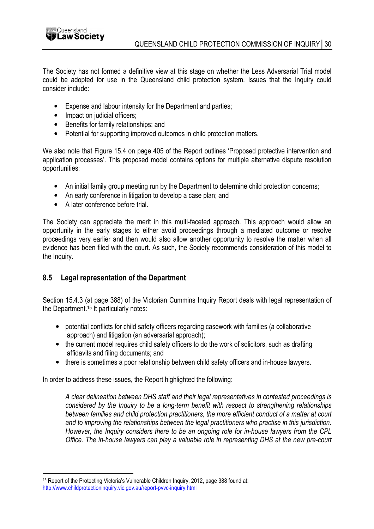

The Society has not formed a definitive view at this stage on whether the Less Adversarial Trial model could be adopted for use in the Queensland child protection system. Issues that the Inquiry could consider include:

- Expense and labour intensity for the Department and parties;
- Impact on judicial officers;
- Benefits for family relationships; and
- Potential for supporting improved outcomes in child protection matters.

We also note that Figure 15.4 on page 405 of the Report outlines 'Proposed protective intervention and application processes'. This proposed model contains options for multiple alternative dispute resolution opportunities:

- An initial family group meeting run by the Department to determine child protection concerns;
- An early conference in litigation to develop a case plan; and
- A later conference before trial.

The Society can appreciate the merit in this multi-faceted approach. This approach would allow an opportunity in the early stages to either avoid proceedings through a mediated outcome or resolve proceedings very earlier and then would also allow another opportunity to resolve the matter when all evidence has been filed with the court. As such, the Society recommends consideration of this model to the Inquiry.

## 8.5 Legal representation of the Department

Section 15.4.3 (at page 388) of the Victorian Cummins Inquiry Report deals with legal representation of the Department.<sup>15</sup> It particularly notes:

- potential conflicts for child safety officers regarding casework with families (a collaborative approach) and litigation (an adversarial approach);
- the current model requires child safety officers to do the work of solicitors, such as drafting affidavits and filing documents; and
- there is sometimes a poor relationship between child safety officers and in-house lawyers.

In order to address these issues, the Report highlighted the following:

A clear delineation between DHS staff and their legal representatives in contested proceedings is considered by the Inquiry to be a long-term benefit with respect to strengthening relationships between families and child protection practitioners, the more efficient conduct of a matter at court and to improving the relationships between the legal practitioners who practise in this jurisdiction. However, the Inquiry considers there to be an ongoing role for in-house lawyers from the CPL Office. The in-house lawyers can play a valuable role in representing DHS at the new pre-court

 $\overline{a}$ <sup>15</sup> Report of the Protecting Victoria's Vulnerable Children Inquiry, 2012, page 388 found at: http://www.childprotectioninquiry.vic.gov.au/report-pvvc-inquiry.html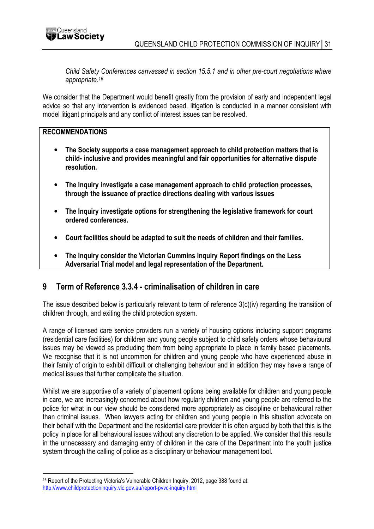

Child Safety Conferences canvassed in section 15.5.1 and in other pre-court negotiations where appropriate.<sup>16</sup>

We consider that the Department would benefit greatly from the provision of early and independent legal advice so that any intervention is evidenced based, litigation is conducted in a manner consistent with model litigant principals and any conflict of interest issues can be resolved.

#### RECOMMENDATIONS

 $\overline{a}$ 

- The Society supports a case management approach to child protection matters that is child- inclusive and provides meaningful and fair opportunities for alternative dispute resolution.
- The Inquiry investigate a case management approach to child protection processes, through the issuance of practice directions dealing with various issues
- The Inquiry investigate options for strengthening the legislative framework for court ordered conferences.
- Court facilities should be adapted to suit the needs of children and their families.
- The Inquiry consider the Victorian Cummins Inquiry Report findings on the Less Adversarial Trial model and legal representation of the Department.

## 9 Term of Reference 3.3.4 - criminalisation of children in care

The issue described below is particularly relevant to term of reference 3(c)(iv) regarding the transition of children through, and exiting the child protection system.

A range of licensed care service providers run a variety of housing options including support programs (residential care facilities) for children and young people subject to child safety orders whose behavioural issues may be viewed as precluding them from being appropriate to place in family based placements. We recognise that it is not uncommon for children and young people who have experienced abuse in their family of origin to exhibit difficult or challenging behaviour and in addition they may have a range of medical issues that further complicate the situation.

Whilst we are supportive of a variety of placement options being available for children and young people in care, we are increasingly concerned about how regularly children and young people are referred to the police for what in our view should be considered more appropriately as discipline or behavioural rather than criminal issues. When lawyers acting for children and young people in this situation advocate on their behalf with the Department and the residential care provider it is often argued by both that this is the policy in place for all behavioural issues without any discretion to be applied. We consider that this results in the unnecessary and damaging entry of children in the care of the Department into the youth justice system through the calling of police as a disciplinary or behaviour management tool.

<sup>16</sup> Report of the Protecting Victoria's Vulnerable Children Inquiry, 2012, page 388 found at: http://www.childprotectioninquiry.vic.gov.au/report-pvvc-inquiry.html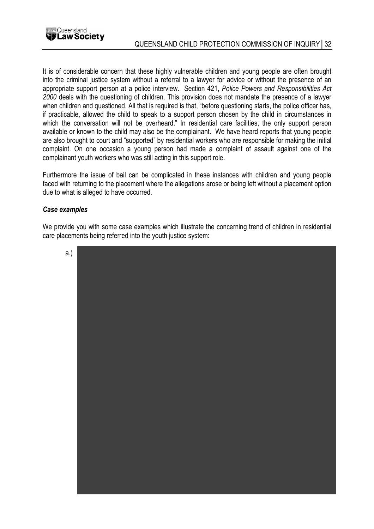

It is of considerable concern that these highly vulnerable children and young people are often brought into the criminal justice system without a referral to a lawyer for advice or without the presence of an appropriate support person at a police interview. Section 421, Police Powers and Responsibilities Act 2000 deals with the questioning of children. This provision does not mandate the presence of a lawyer when children and questioned. All that is required is that, "before questioning starts, the police officer has, if practicable, allowed the child to speak to a support person chosen by the child in circumstances in which the conversation will not be overheard." In residential care facilities, the only support person available or known to the child may also be the complainant. We have heard reports that young people are also brought to court and "supported" by residential workers who are responsible for making the initial complaint. On one occasion a young person had made a complaint of assault against one of the complainant youth workers who was still acting in this support role.

Furthermore the issue of bail can be complicated in these instances with children and young people faced with returning to the placement where the allegations arose or being left without a placement option due to what is alleged to have occurred.

#### Case examples

We provide you with some case examples which illustrate the concerning trend of children in residential care placements being referred into the youth justice system:

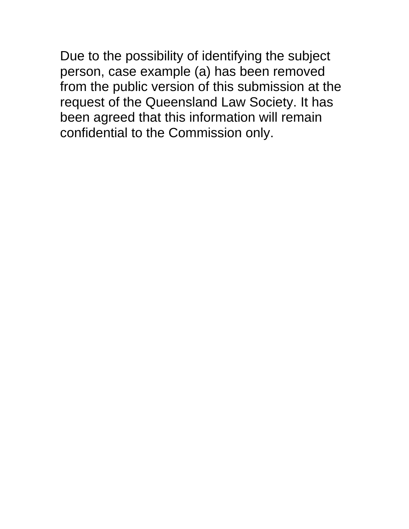Due to the possibility of identifying the subject person, case example (a) has been removed from the public version of this submission at the request of the Queensland Law Society. It has been agreed that this information will remain confidential to the Commission only.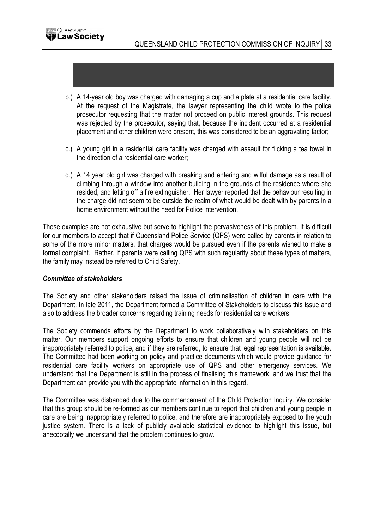- b.) A 14-year old boy was charged with damaging a cup and a plate at a residential care facility. At the request of the Magistrate, the lawyer representing the child wrote to the police prosecutor requesting that the matter not proceed on public interest grounds. This request was rejected by the prosecutor, saying that, because the incident occurred at a residential placement and other children were present, this was considered to be an aggravating factor;
- c.) A young girl in a residential care facility was charged with assault for flicking a tea towel in the direction of a residential care worker;
- d.) A 14 year old girl was charged with breaking and entering and wilful damage as a result of climbing through a window into another building in the grounds of the residence where she resided, and letting off a fire extinguisher. Her lawyer reported that the behaviour resulting in the charge did not seem to be outside the realm of what would be dealt with by parents in a home environment without the need for Police intervention.

These examples are not exhaustive but serve to highlight the pervasiveness of this problem. It is difficult for our members to accept that if Queensland Police Service (QPS) were called by parents in relation to some of the more minor matters, that charges would be pursued even if the parents wished to make a formal complaint. Rather, if parents were calling QPS with such regularity about these types of matters, the family may instead be referred to Child Safety.

#### Committee of stakeholders

The Society and other stakeholders raised the issue of criminalisation of children in care with the Department. In late 2011, the Department formed a Committee of Stakeholders to discuss this issue and also to address the broader concerns regarding training needs for residential care workers.

The Society commends efforts by the Department to work collaboratively with stakeholders on this matter. Our members support ongoing efforts to ensure that children and young people will not be inappropriately referred to police, and if they are referred, to ensure that legal representation is available. The Committee had been working on policy and practice documents which would provide guidance for residential care facility workers on appropriate use of QPS and other emergency services. We understand that the Department is still in the process of finalising this framework, and we trust that the Department can provide you with the appropriate information in this regard.

The Committee was disbanded due to the commencement of the Child Protection Inquiry. We consider that this group should be re-formed as our members continue to report that children and young people in care are being inappropriately referred to police, and therefore are inappropriately exposed to the youth justice system. There is a lack of publicly available statistical evidence to highlight this issue, but anecdotally we understand that the problem continues to grow.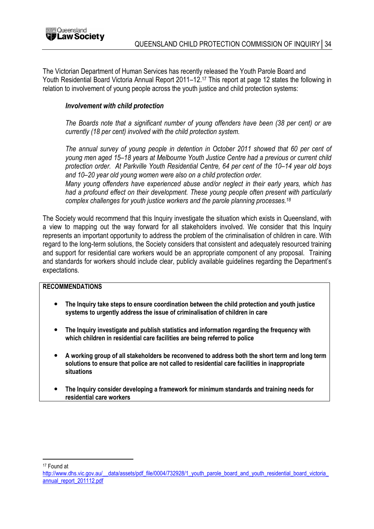The Victorian Department of Human Services has recently released the Youth Parole Board and Youth Residential Board Victoria Annual Report 2011–12.<sup>17</sup> This report at page 12 states the following in relation to involvement of young people across the youth justice and child protection systems:

#### Involvement with child protection

The Boards note that a significant number of young offenders have been (38 per cent) or are currently (18 per cent) involved with the child protection system.

The annual survey of young people in detention in October 2011 showed that 60 per cent of young men aged 15–18 years at Melbourne Youth Justice Centre had a previous or current child protection order. At Parkville Youth Residential Centre, 64 per cent of the 10–14 year old boys and 10–20 year old young women were also on a child protection order.

Many young offenders have experienced abuse and/or neglect in their early years, which has had a profound effect on their development. These young people often present with particularly complex challenges for youth justice workers and the parole planning processes.<sup>18</sup>

The Society would recommend that this Inquiry investigate the situation which exists in Queensland, with a view to mapping out the way forward for all stakeholders involved. We consider that this Inquiry represents an important opportunity to address the problem of the criminalisation of children in care. With regard to the long-term solutions, the Society considers that consistent and adequately resourced training and support for residential care workers would be an appropriate component of any proposal. Training and standards for workers should include clear, publicly available guidelines regarding the Department's expectations.

#### RECOMMENDATIONS

- The Inquiry take steps to ensure coordination between the child protection and youth justice systems to urgently address the issue of criminalisation of children in care
- The Inquiry investigate and publish statistics and information regarding the frequency with which children in residential care facilities are being referred to police
- A working group of all stakeholders be reconvened to address both the short term and long term solutions to ensure that police are not called to residential care facilities in inappropriate situations
- The Inquiry consider developing a framework for minimum standards and training needs for residential care workers

 $\overline{a}$ <sup>17</sup> Found at

http://www.dhs.vic.gov.au/\_\_data/assets/pdf\_file/0004/732928/1\_youth\_parole\_board\_and\_youth\_residential\_board\_victoria\_ annual\_report\_201112.pdf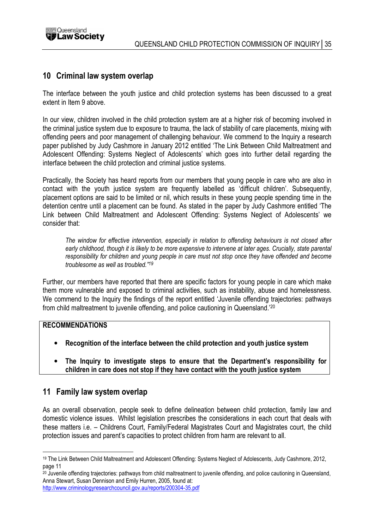

## 10 Criminal law system overlap

The interface between the youth justice and child protection systems has been discussed to a great extent in Item 9 above

In our view, children involved in the child protection system are at a higher risk of becoming involved in the criminal justice system due to exposure to trauma, the lack of stability of care placements, mixing with offending peers and poor management of challenging behaviour. We commend to the Inquiry a research paper published by Judy Cashmore in January 2012 entitled 'The Link Between Child Maltreatment and Adolescent Offending: Systems Neglect of Adolescents' which goes into further detail regarding the interface between the child protection and criminal justice systems.

Practically, the Society has heard reports from our members that young people in care who are also in contact with the youth justice system are frequently labelled as 'difficult children'. Subsequently, placement options are said to be limited or nil, which results in these young people spending time in the detention centre until a placement can be found. As stated in the paper by Judy Cashmore entitled 'The Link between Child Maltreatment and Adolescent Offending: Systems Neglect of Adolescents' we consider that:

The window for effective intervention, especially in relation to offending behaviours is not closed after early childhood, though it is likely to be more expensive to intervene at later ages. Crucially, state parental responsibility for children and young people in care must not stop once they have offended and become troublesome as well as troubled."<sup>19</sup>

Further, our members have reported that there are specific factors for young people in care which make them more vulnerable and exposed to criminal activities, such as instability, abuse and homelessness. We commend to the Inquiry the findings of the report entitled 'Juvenile offending trajectories: pathways from child maltreatment to juvenile offending, and police cautioning in Queensland.'<sup>20</sup>

#### RECOMMENDATIONS

- Recognition of the interface between the child protection and youth justice system
- The Inquiry to investigate steps to ensure that the Department's responsibility for children in care does not stop if they have contact with the youth justice system

# 11 Family law system overlap

As an overall observation, people seek to define delineation between child protection, family law and domestic violence issues. Whilst legislation prescribes the considerations in each court that deals with these matters i.e. – Childrens Court, Family/Federal Magistrates Court and Magistrates court, the child protection issues and parent's capacities to protect children from harm are relevant to all.

 $\overline{a}$ <sup>19</sup> The Link Between Child Maltreatment and Adolescent Offending: Systems Neglect of Adolescents, Judy Cashmore, 2012, page 11

<sup>20</sup> Juvenile offending trajectories: pathways from child maltreatment to juvenile offending, and police cautioning in Queensland, Anna Stewart, Susan Dennison and Emily Hurren, 2005, found at:

http://www.criminologyresearchcouncil.gov.au/reports/200304-35.pdf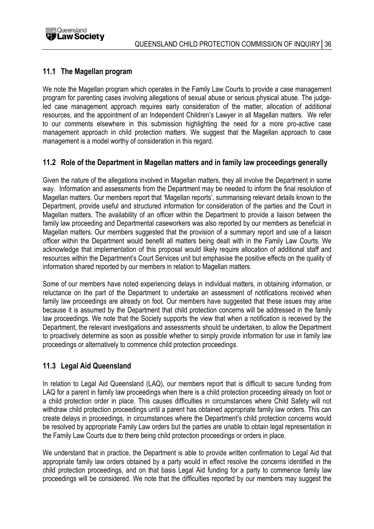

## 11.1 The Magellan program

We note the Magellan program which operates in the Family Law Courts to provide a case management program for parenting cases involving allegations of sexual abuse or serious physical abuse. The judgeled case management approach requires early consideration of the matter, allocation of additional resources, and the appointment of an Independent Children's Lawyer in all Magellan matters. We refer to our comments elsewhere in this submission highlighting the need for a more pro-active case management approach in child protection matters. We suggest that the Magellan approach to case management is a model worthy of consideration in this regard.

## 11.2 Role of the Department in Magellan matters and in family law proceedings generally

Given the nature of the allegations involved in Magellan matters, they all involve the Department in some way. Information and assessments from the Department may be needed to inform the final resolution of Magellan matters. Our members report that 'Magellan reports', summarising relevant details known to the Department, provide useful and structured information for consideration of the parties and the Court in Magellan matters. The availability of an officer within the Department to provide a liaison between the family law proceeding and Departmental caseworkers was also reported by our members as beneficial in Magellan matters. Our members suggested that the provision of a summary report and use of a liaison officer within the Department would benefit all matters being dealt with in the Family Law Courts. We acknowledge that implementation of this proposal would likely require allocation of additional staff and resources within the Department's Court Services unit but emphasise the positive effects on the quality of information shared reported by our members in relation to Magellan matters.

Some of our members have noted experiencing delays in individual matters, in obtaining information, or reluctance on the part of the Department to undertake an assessment of notifications received when family law proceedings are already on foot. Our members have suggested that these issues may arise because it is assumed by the Department that child protection concerns will be addressed in the family law proceedings. We note that the Society supports the view that when a notification is received by the Department, the relevant investigations and assessments should be undertaken, to allow the Department to proactively determine as soon as possible whether to simply provide information for use in family law proceedings or alternatively to commence child protection proceedings.

# 11.3 Legal Aid Queensland

In relation to Legal Aid Queensland (LAQ), our members report that is difficult to secure funding from LAQ for a parent in family law proceedings when there is a child protection proceeding already on foot or a child protection order in place. This causes difficulties in circumstances where Child Safety will not withdraw child protection proceedings until a parent has obtained appropriate family law orders. This can create delays in proceedings, in circumstances where the Department's child protection concerns would be resolved by appropriate Family Law orders but the parties are unable to obtain legal representation in the Family Law Courts due to there being child protection proceedings or orders in place.

We understand that in practice, the Department is able to provide written confirmation to Legal Aid that appropriate family law orders obtained by a party would in effect resolve the concerns identified in the child protection proceedings, and on that basis Legal Aid funding for a party to commence family law proceedings will be considered. We note that the difficulties reported by our members may suggest the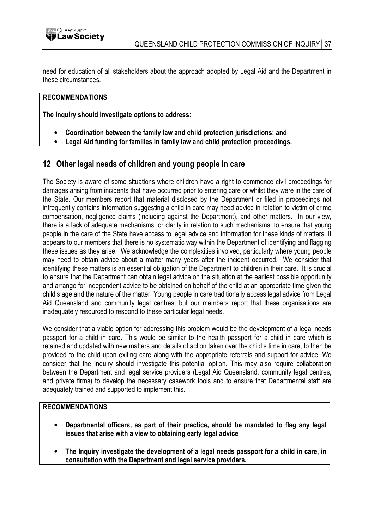need for education of all stakeholders about the approach adopted by Legal Aid and the Department in these circumstances.

## RECOMMENDATIONS

The Inquiry should investigate options to address:

- Coordination between the family law and child protection jurisdictions; and
- Legal Aid funding for families in family law and child protection proceedings.

## 12 Other legal needs of children and young people in care

The Society is aware of some situations where children have a right to commence civil proceedings for damages arising from incidents that have occurred prior to entering care or whilst they were in the care of the State. Our members report that material disclosed by the Department or filed in proceedings not infrequently contains information suggesting a child in care may need advice in relation to victim of crime compensation, negligence claims (including against the Department), and other matters. In our view, there is a lack of adequate mechanisms, or clarity in relation to such mechanisms, to ensure that young people in the care of the State have access to legal advice and information for these kinds of matters. It appears to our members that there is no systematic way within the Department of identifying and flagging these issues as they arise. We acknowledge the complexities involved, particularly where young people may need to obtain advice about a matter many years after the incident occurred. We consider that identifying these matters is an essential obligation of the Department to children in their care. It is crucial to ensure that the Department can obtain legal advice on the situation at the earliest possible opportunity and arrange for independent advice to be obtained on behalf of the child at an appropriate time given the child's age and the nature of the matter. Young people in care traditionally access legal advice from Legal Aid Queensland and community legal centres, but our members report that these organisations are inadequately resourced to respond to these particular legal needs.

We consider that a viable option for addressing this problem would be the development of a legal needs passport for a child in care. This would be similar to the health passport for a child in care which is retained and updated with new matters and details of action taken over the child's time in care, to then be provided to the child upon exiting care along with the appropriate referrals and support for advice. We consider that the Inquiry should investigate this potential option. This may also require collaboration between the Department and legal service providers (Legal Aid Queensland, community legal centres, and private firms) to develop the necessary casework tools and to ensure that Departmental staff are adequately trained and supported to implement this.

#### RECOMMENDATIONS

- Departmental officers, as part of their practice, should be mandated to flag any legal issues that arise with a view to obtaining early legal advice
- The Inquiry investigate the development of a legal needs passport for a child in care, in consultation with the Department and legal service providers.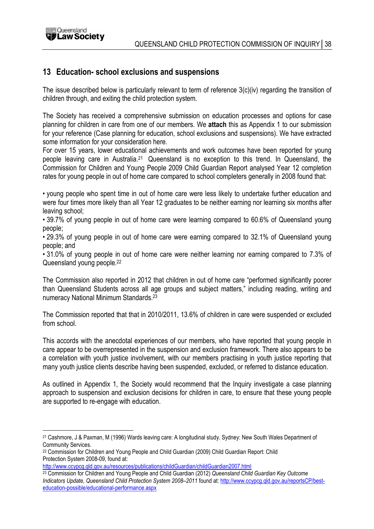

# 13 Education- school exclusions and suspensions

The issue described below is particularly relevant to term of reference 3(c)(iv) regarding the transition of children through, and exiting the child protection system.

The Society has received a comprehensive submission on education processes and options for case planning for children in care from one of our members. We attach this as Appendix 1 to our submission for your reference (Case planning for education, school exclusions and suspensions). We have extracted some information for your consideration here.

For over 15 years, lower educational achievements and work outcomes have been reported for young people leaving care in Australia.<sup>21</sup> Queensland is no exception to this trend. In Queensland, the Commission for Children and Young People 2009 Child Guardian Report analysed Year 12 completion rates for young people in out of home care compared to school completers generally in 2008 found that:

• young people who spent time in out of home care were less likely to undertake further education and were four times more likely than all Year 12 graduates to be neither earning nor learning six months after leaving school;

• 39.7% of young people in out of home care were learning compared to 60.6% of Queensland young people;

• 29.3% of young people in out of home care were earning compared to 32.1% of Queensland young people; and

• 31.0% of young people in out of home care were neither learning nor earning compared to 7.3% of Queensland young people.<sup>22</sup>

The Commission also reported in 2012 that children in out of home care "performed significantly poorer than Queensland Students across all age groups and subject matters," including reading, writing and numeracy National Minimum Standards.<sup>23</sup>

The Commission reported that that in 2010/2011, 13.6% of children in care were suspended or excluded from school.

This accords with the anecdotal experiences of our members, who have reported that young people in care appear to be overrepresented in the suspension and exclusion framework. There also appears to be a correlation with youth justice involvement, with our members practising in youth justice reporting that many youth justice clients describe having been suspended, excluded, or referred to distance education.

As outlined in Appendix 1, the Society would recommend that the Inquiry investigate a case planning approach to suspension and exclusion decisions for children in care, to ensure that these young people are supported to re-engage with education.

 $\overline{a}$ <sup>21</sup> Cashmore, J & Paxman, M (1996) Wards leaving care: A longitudinal study. Sydney: New South Wales Department of Community Services.

<sup>22</sup> Commission for Children and Young People and Child Guardian (2009) Child Guardian Report: Child Protection System 2008-09, found at:

http://www.ccypcg.qld.gov.au/resources/publications/childGuardian/childGuardian2007.html

<sup>&</sup>lt;sup>23</sup> Commission for Children and Young People and Child Guardian (2012) Queensland Child Guardian Key Outcome Indicators Update, Queensland Child Protection System 2008-2011 found at: http://www.ccypcg.qld.gov.au/reportsCP/besteducation-possible/educational-performance.aspx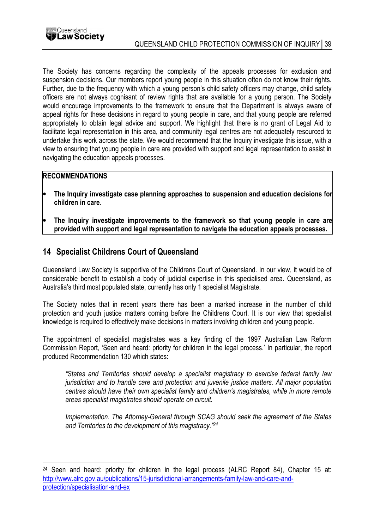

The Society has concerns regarding the complexity of the appeals processes for exclusion and suspension decisions. Our members report young people in this situation often do not know their rights. Further, due to the frequency with which a young person's child safety officers may change, child safety officers are not always cognisant of review rights that are available for a young person. The Society would encourage improvements to the framework to ensure that the Department is always aware of appeal rights for these decisions in regard to young people in care, and that young people are referred appropriately to obtain legal advice and support. We highlight that there is no grant of Legal Aid to facilitate legal representation in this area, and community legal centres are not adequately resourced to undertake this work across the state. We would recommend that the Inquiry investigate this issue, with a view to ensuring that young people in care are provided with support and legal representation to assist in navigating the education appeals processes.

#### **RECOMMENDATIONS**

 $\overline{a}$ 

- The Inquiry investigate case planning approaches to suspension and education decisions for children in care.
- The Inquiry investigate improvements to the framework so that young people in care are provided with support and legal representation to navigate the education appeals processes.

## 14 Specialist Childrens Court of Queensland

Queensland Law Society is supportive of the Childrens Court of Queensland. In our view, it would be of considerable benefit to establish a body of judicial expertise in this specialised area. Queensland, as Australia's third most populated state, currently has only 1 specialist Magistrate.

The Society notes that in recent years there has been a marked increase in the number of child protection and youth justice matters coming before the Childrens Court. It is our view that specialist knowledge is required to effectively make decisions in matters involving children and young people.

The appointment of specialist magistrates was a key finding of the 1997 Australian Law Reform Commission Report, 'Seen and heard: priority for children in the legal process.' In particular, the report produced Recommendation 130 which states:

"States and Territories should develop a specialist magistracy to exercise federal family law jurisdiction and to handle care and protection and juvenile justice matters. All major population centres should have their own specialist family and children's magistrates, while in more remote areas specialist magistrates should operate on circuit.

Implementation. The Attorney-General through SCAG should seek the agreement of the States and Territories to the development of this magistracy."<sup>24</sup>

<sup>&</sup>lt;sup>24</sup> Seen and heard: priority for children in the legal process (ALRC Report 84), Chapter 15 at: http://www.alrc.gov.au/publications/15-jurisdictional-arrangements-family-law-and-care-andprotection/specialisation-and-ex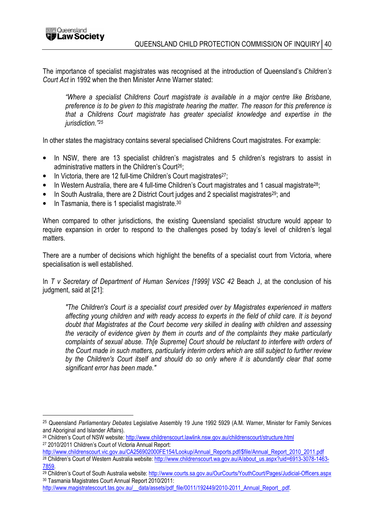$\overline{a}$ 

The importance of specialist magistrates was recognised at the introduction of Queensland's Children's Court Act in 1992 when the then Minister Anne Warner stated:

"Where a specialist Childrens Court magistrate is available in a major centre like Brisbane, preference is to be given to this magistrate hearing the matter. The reason for this preference is that a Childrens Court magistrate has greater specialist knowledge and expertise in the jurisdiction."<sup>25</sup>

In other states the magistracy contains several specialised Childrens Court magistrates. For example:

- In NSW, there are 13 specialist children's magistrates and 5 children's registrars to assist in administrative matters in the Children's Court<sup>26</sup>;
- In Victoria, there are 12 full-time Children's Court magistrates<sup>27</sup>;
- In Western Australia, there are 4 full-time Children's Court magistrates and 1 casual magistrate<sup>28</sup>;
- In South Australia, there are 2 District Court judges and 2 specialist magistrates<sup>29</sup>; and
- In Tasmania, there is 1 specialist magistrate.<sup>30</sup>

When compared to other jurisdictions, the existing Queensland specialist structure would appear to require expansion in order to respond to the challenges posed by today's level of children's legal matters.

There are a number of decisions which highlight the benefits of a specialist court from Victoria, where specialisation is well established.

In T v Secretary of Department of Human Services [1999] VSC 42 Beach J, at the conclusion of his judgment, said at [21]:

"The Children's Court is a specialist court presided over by Magistrates experienced in matters affecting young children and with ready access to experts in the field of child care. It is beyond doubt that Magistrates at the Court become very skilled in dealing with children and assessing the veracity of evidence given by them in courts and of the complaints they make particularly complaints of sexual abuse. Th[e Supreme] Court should be reluctant to interfere with orders of the Court made in such matters, particularly interim orders which are still subject to further review by the Children's Court itself and should do so only where it is abundantly clear that some significant error has been made."

<sup>&</sup>lt;sup>25</sup> Queensland Parliamentary Debates Legislative Assembly 19 June 1992 5929 (A.M. Warner, Minister for Family Services and Aboriginal and Islander Affairs).

<sup>26</sup> Children's Court of NSW website: http://www.childrenscourt.lawlink.nsw.gov.au/childrenscourt/structure.html <sup>27</sup> 2010/2011 Children's Court of Victoria Annual Report:

http://www.childrenscourt.vic.gov.au/CA256902000FE154/Lookup/Annual\_Reports.pdf/\$file/Annual\_Report\_2010\_2011.pdf <sup>28</sup> Children's Court of Western Australia website: http://www.childrenscourt.wa.gov.au/A/about\_us.aspx?uid=6913-3078-1463- 7859.

<sup>29</sup> Children's Court of South Australia website: http://www.courts.sa.gov.au/OurCourts/YouthCourt/Pages/Judicial-Officers.aspx <sup>30</sup> Tasmania Magistrates Court Annual Report 2010/2011:

http://www.magistratescourt.tas.gov.au/\_\_data/assets/pdf\_file/0011/192449/2010-2011\_Annual\_Report\_.pdf.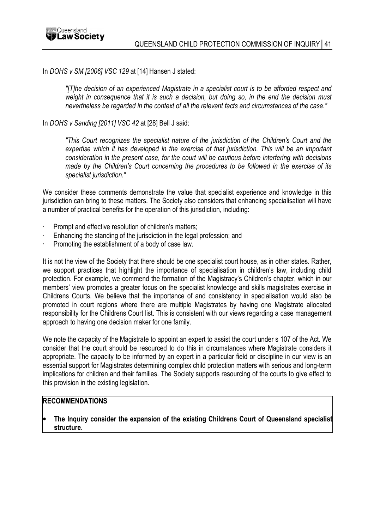

#### In DOHS v SM [2006] VSC 129 at [14] Hansen J stated:

"[T]he decision of an experienced Magistrate in a specialist court is to be afforded respect and weight in consequence that it is such a decision, but doing so, in the end the decision must nevertheless be regarded in the context of all the relevant facts and circumstances of the case."

#### In DOHS v Sanding [2011] VSC 42 at [28] Bell J said:

"This Court recognizes the specialist nature of the jurisdiction of the Children's Court and the expertise which it has developed in the exercise of that jurisdiction. This will be an important consideration in the present case, for the court will be cautious before interfering with decisions made by the Children's Court concerning the procedures to be followed in the exercise of its specialist jurisdiction."

We consider these comments demonstrate the value that specialist experience and knowledge in this jurisdiction can bring to these matters. The Society also considers that enhancing specialisation will have a number of practical benefits for the operation of this jurisdiction, including:

- Prompt and effective resolution of children's matters;
- Enhancing the standing of the jurisdiction in the legal profession; and
- Promoting the establishment of a body of case law.

It is not the view of the Society that there should be one specialist court house, as in other states. Rather, we support practices that highlight the importance of specialisation in children's law, including child protection. For example, we commend the formation of the Magistracy's Children's chapter, which in our members' view promotes a greater focus on the specialist knowledge and skills magistrates exercise in Childrens Courts. We believe that the importance of and consistency in specialisation would also be promoted in court regions where there are multiple Magistrates by having one Magistrate allocated responsibility for the Childrens Court list. This is consistent with our views regarding a case management approach to having one decision maker for one family.

We note the capacity of the Magistrate to appoint an expert to assist the court under s 107 of the Act. We consider that the court should be resourced to do this in circumstances where Magistrate considers it appropriate. The capacity to be informed by an expert in a particular field or discipline in our view is an essential support for Magistrates determining complex child protection matters with serious and long-term implications for children and their families. The Society supports resourcing of the courts to give effect to this provision in the existing legislation.

#### **RECOMMENDATIONS**

The Inquiry consider the expansion of the existing Childrens Court of Queensland specialist structure.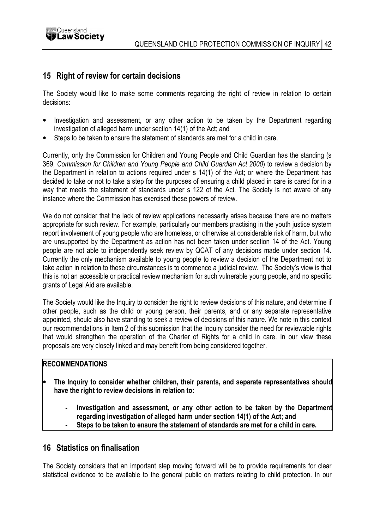

## 15 Right of review for certain decisions

The Society would like to make some comments regarding the right of review in relation to certain decisions:

- Investigation and assessment, or any other action to be taken by the Department regarding investigation of alleged harm under section 14(1) of the Act; and
- Steps to be taken to ensure the statement of standards are met for a child in care.

Currently, only the Commission for Children and Young People and Child Guardian has the standing (s 369, Commission for Children and Young People and Child Guardian Act 2000) to review a decision by the Department in relation to actions required under s 14(1) of the Act; or where the Department has decided to take or not to take a step for the purposes of ensuring a child placed in care is cared for in a way that meets the statement of standards under s 122 of the Act. The Society is not aware of any instance where the Commission has exercised these powers of review.

We do not consider that the lack of review applications necessarily arises because there are no matters appropriate for such review. For example, particularly our members practising in the youth justice system report involvement of young people who are homeless, or otherwise at considerable risk of harm, but who are unsupported by the Department as action has not been taken under section 14 of the Act. Young people are not able to independently seek review by QCAT of any decisions made under section 14. Currently the only mechanism available to young people to review a decision of the Department not to take action in relation to these circumstances is to commence a judicial review. The Society's view is that this is not an accessible or practical review mechanism for such vulnerable young people, and no specific grants of Legal Aid are available.

The Society would like the Inquiry to consider the right to review decisions of this nature, and determine if other people, such as the child or young person, their parents, and or any separate representative appointed, should also have standing to seek a review of decisions of this nature. We note in this context our recommendations in Item 2 of this submission that the Inquiry consider the need for reviewable rights that would strengthen the operation of the Charter of Rights for a child in care. In our view these proposals are very closely linked and may benefit from being considered together.

#### **RECOMMENDATIONS**

- The Inquiry to consider whether children, their parents, and separate representatives should have the right to review decisions in relation to:
	- Investigation and assessment, or any other action to be taken by the Department regarding investigation of alleged harm under section 14(1) of the Act; and
	- Steps to be taken to ensure the statement of standards are met for a child in care.

## 16 Statistics on finalisation

The Society considers that an important step moving forward will be to provide requirements for clear statistical evidence to be available to the general public on matters relating to child protection. In our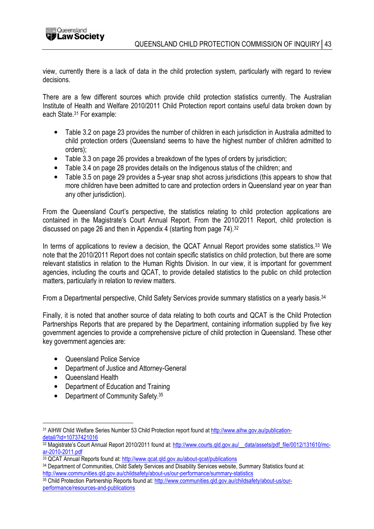view, currently there is a lack of data in the child protection system, particularly with regard to review decisions.

There are a few different sources which provide child protection statistics currently. The Australian Institute of Health and Welfare 2010/2011 Child Protection report contains useful data broken down by each State.<sup>31</sup> For example:

- Table 3.2 on page 23 provides the number of children in each jurisdiction in Australia admitted to child protection orders (Queensland seems to have the highest number of children admitted to orders);
- Table 3.3 on page 26 provides a breakdown of the types of orders by jurisdiction;
- Table 3.4 on page 28 provides details on the Indigenous status of the children; and
- Table 3.5 on page 29 provides a 5-year snap shot across jurisdictions (this appears to show that more children have been admitted to care and protection orders in Queensland year on year than any other jurisdiction).

From the Queensland Court's perspective, the statistics relating to child protection applications are contained in the Magistrate's Court Annual Report. From the 2010/2011 Report, child protection is discussed on page 26 and then in Appendix 4 (starting from page 74).<sup>32</sup>

In terms of applications to review a decision, the QCAT Annual Report provides some statistics.<sup>33</sup> We note that the 2010/2011 Report does not contain specific statistics on child protection, but there are some relevant statistics in relation to the Human Rights Division. In our view, it is important for government agencies, including the courts and QCAT, to provide detailed statistics to the public on child protection matters, particularly in relation to review matters.

From a Departmental perspective, Child Safety Services provide summary statistics on a yearly basis.<sup>34</sup>

Finally, it is noted that another source of data relating to both courts and QCAT is the Child Protection Partnerships Reports that are prepared by the Department, containing information supplied by five key government agencies to provide a comprehensive picture of child protection in Queensland. These other key government agencies are:

- Queensland Police Service
- Department of Justice and Attorney-General
- Queensland Health
- Department of Education and Training
- Department of Community Safety. 35

 $\overline{a}$ 31 AIHW Child Welfare Series Number 53 Child Protection report found at http://www.aihw.gov.au/publicationdetail/?id=10737421016

<sup>32</sup> Magistrate's Court Annual Report 2010/2011 found at: http://www.courts.gld.gov.au/ data/assets/pdf\_file/0012/131610/mcar-2010-2011.pdf

<sup>33</sup> QCAT Annual Reports found at: http://www.qcat.qld.gov.au/about-qcat/publications

<sup>34</sup> Department of Communities, Child Safety Services and Disability Services website, Summary Statistics found at: http://www.communities.qld.gov.au/childsafety/about-us/our-performance/summary-statistics

<sup>35</sup> Child Protection Partnership Reports found at: http://www.communities.qld.gov.au/childsafety/about-us/ourperformance/resources-and-publications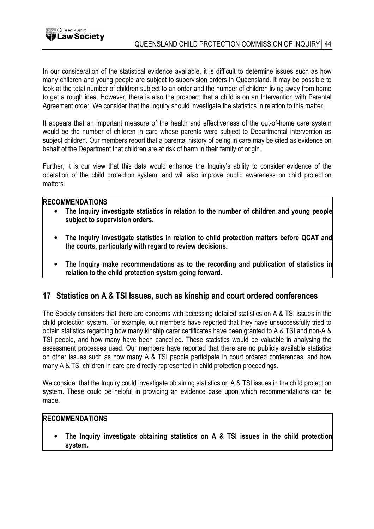

In our consideration of the statistical evidence available, it is difficult to determine issues such as how many children and young people are subject to supervision orders in Queensland. It may be possible to look at the total number of children subject to an order and the number of children living away from home to get a rough idea. However, there is also the prospect that a child is on an Intervention with Parental Agreement order. We consider that the Inquiry should investigate the statistics in relation to this matter.

It appears that an important measure of the health and effectiveness of the out-of-home care system would be the number of children in care whose parents were subject to Departmental intervention as subject children. Our members report that a parental history of being in care may be cited as evidence on behalf of the Department that children are at risk of harm in their family of origin.

Further, it is our view that this data would enhance the Inquiry's ability to consider evidence of the operation of the child protection system, and will also improve public awareness on child protection matters.

#### **RECOMMENDATIONS**

- The Inquiry investigate statistics in relation to the number of children and young people subject to supervision orders.
- The Inquiry investigate statistics in relation to child protection matters before QCAT and the courts, particularly with regard to review decisions.
- The Inquiry make recommendations as to the recording and publication of statistics in relation to the child protection system going forward.

## 17 Statistics on A & TSI Issues, such as kinship and court ordered conferences

The Society considers that there are concerns with accessing detailed statistics on A & TSI issues in the child protection system. For example, our members have reported that they have unsuccessfully tried to obtain statistics regarding how many kinship carer certificates have been granted to A & TSI and non-A & TSI people, and how many have been cancelled. These statistics would be valuable in analysing the assessment processes used. Our members have reported that there are no publicly available statistics on other issues such as how many A & TSI people participate in court ordered conferences, and how many A & TSI children in care are directly represented in child protection proceedings.

We consider that the Inquiry could investigate obtaining statistics on A & TSI issues in the child protection system. These could be helpful in providing an evidence base upon which recommendations can be made.

#### RECOMMENDATIONS

The Inquiry investigate obtaining statistics on A & TSI issues in the child protection system.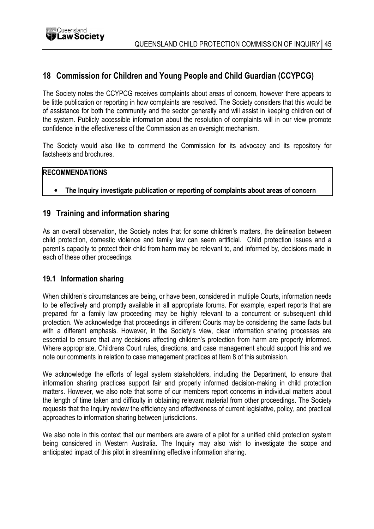# 18 Commission for Children and Young People and Child Guardian (CCYPCG)

The Society notes the CCYPCG receives complaints about areas of concern, however there appears to be little publication or reporting in how complaints are resolved. The Society considers that this would be of assistance for both the community and the sector generally and will assist in keeping children out of the system. Publicly accessible information about the resolution of complaints will in our view promote confidence in the effectiveness of the Commission as an oversight mechanism.

The Society would also like to commend the Commission for its advocacy and its repository for factsheets and brochures.

#### **RECOMMENDATIONS**

#### • The Inquiry investigate publication or reporting of complaints about areas of concern

## 19 Training and information sharing

As an overall observation, the Society notes that for some children's matters, the delineation between child protection, domestic violence and family law can seem artificial. Child protection issues and a parent's capacity to protect their child from harm may be relevant to, and informed by, decisions made in each of these other proceedings.

#### 19.1 Information sharing

When children's circumstances are being, or have been, considered in multiple Courts, information needs to be effectively and promptly available in all appropriate forums. For example, expert reports that are prepared for a family law proceeding may be highly relevant to a concurrent or subsequent child protection. We acknowledge that proceedings in different Courts may be considering the same facts but with a different emphasis. However, in the Society's view, clear information sharing processes are essential to ensure that any decisions affecting children's protection from harm are properly informed. Where appropriate, Childrens Court rules, directions, and case management should support this and we note our comments in relation to case management practices at Item 8 of this submission.

We acknowledge the efforts of legal system stakeholders, including the Department, to ensure that information sharing practices support fair and properly informed decision-making in child protection matters. However, we also note that some of our members report concerns in individual matters about the length of time taken and difficulty in obtaining relevant material from other proceedings. The Society requests that the Inquiry review the efficiency and effectiveness of current legislative, policy, and practical approaches to information sharing between jurisdictions.

We also note in this context that our members are aware of a pilot for a unified child protection system being considered in Western Australia. The Inquiry may also wish to investigate the scope and anticipated impact of this pilot in streamlining effective information sharing.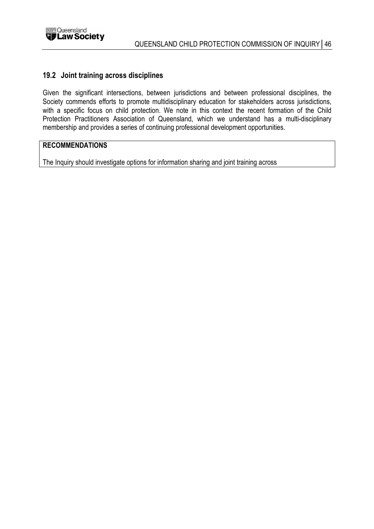

#### 19.2 Joint training across disciplines

Given the significant intersections, between jurisdictions and between professional disciplines, the Society commends efforts to promote multidisciplinary education for stakeholders across jurisdictions, with a specific focus on child protection. We note in this context the recent formation of the Child Protection Practitioners Association of Queensland, which we understand has a multi-disciplinary membership and provides a series of continuing professional development opportunities.

#### RECOMMENDATIONS

The Inquiry should investigate options for information sharing and joint training across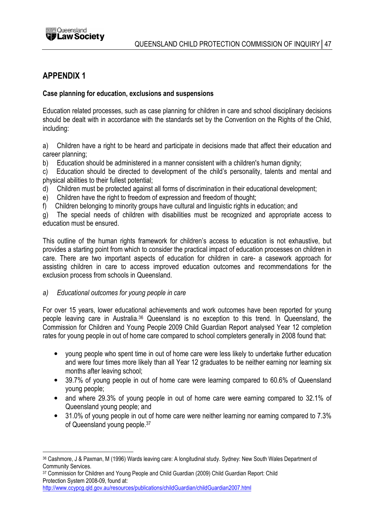

# APPENDIX 1

#### Case planning for education, exclusions and suspensions

Education related processes, such as case planning for children in care and school disciplinary decisions should be dealt with in accordance with the standards set by the Convention on the Rights of the Child, including:

a) Children have a right to be heard and participate in decisions made that affect their education and career planning;

b) Education should be administered in a manner consistent with a children's human dignity:

c) Education should be directed to development of the child's personality, talents and mental and physical abilities to their fullest potential;

- d) Children must be protected against all forms of discrimination in their educational development;
- e) Children have the right to freedom of expression and freedom of thought;

f) Children belonging to minority groups have cultural and linguistic rights in education; and

g) The special needs of children with disabilities must be recognized and appropriate access to education must be ensured.

This outline of the human rights framework for children's access to education is not exhaustive, but provides a starting point from which to consider the practical impact of education processes on children in care. There are two important aspects of education for children in care- a casework approach for assisting children in care to access improved education outcomes and recommendations for the exclusion process from schools in Queensland.

#### a) Educational outcomes for young people in care

For over 15 years, lower educational achievements and work outcomes have been reported for young people leaving care in Australia.<sup>36</sup> Queensland is no exception to this trend. In Queensland, the Commission for Children and Young People 2009 Child Guardian Report analysed Year 12 completion rates for young people in out of home care compared to school completers generally in 2008 found that:

- young people who spent time in out of home care were less likely to undertake further education and were four times more likely than all Year 12 graduates to be neither earning nor learning six months after leaving school;
- 39.7% of young people in out of home care were learning compared to 60.6% of Queensland young people;
- and where 29.3% of young people in out of home care were earning compared to 32.1% of Queensland young people; and
- 31.0% of young people in out of home care were neither learning nor earning compared to 7.3% of Queensland young people.<sup>37</sup>

 $\overline{a}$ <sup>36</sup> Cashmore, J & Paxman, M (1996) Wards leaving care: A longitudinal study. Sydney: New South Wales Department of Community Services.

<sup>37</sup> Commission for Children and Young People and Child Guardian (2009) Child Guardian Report: Child Protection System 2008-09, found at:

http://www.ccypcg.qld.gov.au/resources/publications/childGuardian/childGuardian2007.html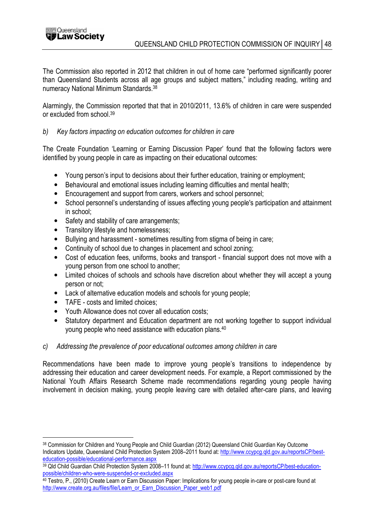The Commission also reported in 2012 that children in out of home care "performed significantly poorer than Queensland Students across all age groups and subject matters," including reading, writing and numeracy National Minimum Standards.<sup>38</sup>

Alarmingly, the Commission reported that that in 2010/2011, 13.6% of children in care were suspended or excluded from school.<sup>39</sup>

#### b) Key factors impacting on education outcomes for children in care

The Create Foundation 'Learning or Earning Discussion Paper' found that the following factors were identified by young people in care as impacting on their educational outcomes:

- Young person's input to decisions about their further education, training or employment;
- Behavioural and emotional issues including learning difficulties and mental health;
- Encouragement and support from carers, workers and school personnel;
- School personnel's understanding of issues affecting young people's participation and attainment in school;
- Safety and stability of care arrangements;
- Transitory lifestyle and homelessness;
- Bullying and harassment sometimes resulting from stigma of being in care;
- Continuity of school due to changes in placement and school zoning;
- Cost of education fees, uniforms, books and transport financial support does not move with a young person from one school to another;
- Limited choices of schools and schools have discretion about whether they will accept a young person or not;
- Lack of alternative education models and schools for young people;
- TAFE costs and limited choices:
- Youth Allowance does not cover all education costs;
- Statutory department and Education department are not working together to support individual young people who need assistance with education plans.<sup>40</sup>
- c) Addressing the prevalence of poor educational outcomes among children in care

Recommendations have been made to improve young people's transitions to independence by addressing their education and career development needs. For example, a Report commissioned by the National Youth Affairs Research Scheme made recommendations regarding young people having involvement in decision making, young people leaving care with detailed after-care plans, and leaving

 $\overline{a}$ <sup>38</sup> Commission for Children and Young People and Child Guardian (2012) Queensland Child Guardian Key Outcome Indicators Update, Queensland Child Protection System 2008–2011 found at: http://www.ccypcg.qld.gov.au/reportsCP/besteducation-possible/educational-performance.aspx

<sup>39</sup> Qld Child Guardian Child Protection System 2008-11 found at: http://www.ccypcg.qld.gov.au/reportsCP/best-educationpossible/children-who-were-suspended-or-excluded.aspx

<sup>40</sup> Testro, P., (2010) Create Learn or Earn Discussion Paper: Implications for young people in-care or post-care found at http://www.create.org.au/files/file/Learn\_or\_Earn\_Discussion\_Paper\_web1.pdf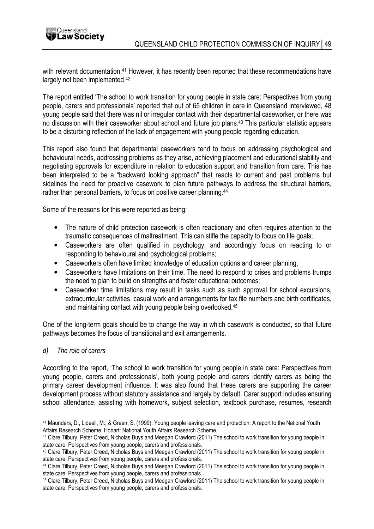

with relevant documentation.<sup>41</sup> However, it has recently been reported that these recommendations have largely not been implemented.<sup>42</sup>

The report entitled 'The school to work transition for young people in state care: Perspectives from young people, carers and professionals' reported that out of 65 children in care in Queensland interviewed, 48 young people said that there was nil or irregular contact with their departmental caseworker, or there was no discussion with their caseworker about school and future job plans.<sup>43</sup> This particular statistic appears to be a disturbing reflection of the lack of engagement with young people regarding education.

This report also found that departmental caseworkers tend to focus on addressing psychological and behavioural needs, addressing problems as they arise, achieving placement and educational stability and negotiating approvals for expenditure in relation to education support and transition from care. This has been interpreted to be a "backward looking approach" that reacts to current and past problems but sidelines the need for proactive casework to plan future pathways to address the structural barriers, rather than personal barriers, to focus on positive career planning.<sup>44</sup>

Some of the reasons for this were reported as being:

- The nature of child protection casework is often reactionary and often requires attention to the traumatic consequences of maltreatment. This can stifle the capacity to focus on life goals;
- Caseworkers are often qualified in psychology, and accordingly focus on reacting to or responding to behavioural and psychological problems;
- Caseworkers often have limited knowledge of education options and career planning;
- Caseworkers have limitations on their time. The need to respond to crises and problems trumps the need to plan to build on strengths and foster educational outcomes;
- Caseworker time limitations may result in tasks such as such approval for school excursions, extracurricular activities, casual work and arrangements for tax file numbers and birth certificates, and maintaining contact with young people being overlooked.<sup>45</sup>

One of the long-term goals should be to change the way in which casework is conducted, so that future pathways becomes the focus of transitional and exit arrangements.

d) The role of carers

 $\overline{a}$ 

According to the report, 'The school to work transition for young people in state care: Perspectives from young people, carers and professionals', both young people and carers identify carers as being the primary career development influence. It was also found that these carers are supporting the career development process without statutory assistance and largely by default. Carer support includes ensuring school attendance, assisting with homework, subject selection, textbook purchase, resumes, research

<sup>41</sup> Maunders, D., Lideell, M., & Green, S. (1999). Young people leaving care and protection: A report to the National Youth Affairs Research Scheme. Hobart: National Youth Affairs Research Scheme.

<sup>42</sup> Clare Tilbury, Peter Creed, Nicholas Buys and Meegan Crawford (2011) The school to work transition for young people in state care: Perspectives from young people, carers and professionals.

<sup>43</sup> Clare Tilbury, Peter Creed, Nicholas Buys and Meegan Crawford (2011) The school to work transition for young people in state care: Perspectives from young people, carers and professionals.

<sup>44</sup> Clare Tilbury, Peter Creed, Nicholas Buys and Meegan Crawford (2011) The school to work transition for young people in state care: Perspectives from young people, carers and professionals.

<sup>45</sup> Clare Tilbury, Peter Creed, Nicholas Buys and Meegan Crawford (2011) The school to work transition for young people in state care: Perspectives from young people, carers and professionals.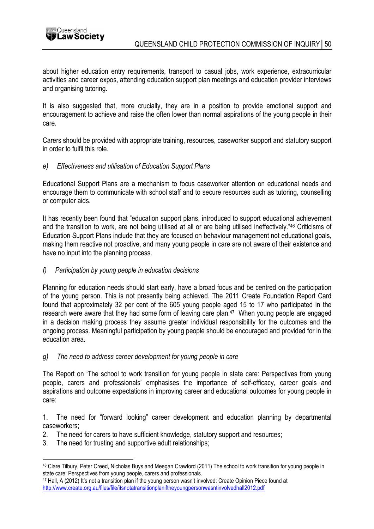

about higher education entry requirements, transport to casual jobs, work experience, extracurricular activities and career expos, attending education support plan meetings and education provider interviews and organising tutoring.

It is also suggested that, more crucially, they are in a position to provide emotional support and encouragement to achieve and raise the often lower than normal aspirations of the young people in their care.

Carers should be provided with appropriate training, resources, caseworker support and statutory support in order to fulfil this role.

#### e) Effectiveness and utilisation of Education Support Plans

Educational Support Plans are a mechanism to focus caseworker attention on educational needs and encourage them to communicate with school staff and to secure resources such as tutoring, counselling or computer aids.

It has recently been found that "education support plans, introduced to support educational achievement and the transition to work, are not being utilised at all or are being utilised ineffectively."<sup>46</sup> Criticisms of Education Support Plans include that they are focused on behaviour management not educational goals, making them reactive not proactive, and many young people in care are not aware of their existence and have no input into the planning process.

#### f) Participation by young people in education decisions

Planning for education needs should start early, have a broad focus and be centred on the participation of the young person. This is not presently being achieved. The 2011 Create Foundation Report Card found that approximately 32 per cent of the 605 young people aged 15 to 17 who participated in the research were aware that they had some form of leaving care plan.<sup>47</sup> When young people are engaged in a decision making process they assume greater individual responsibility for the outcomes and the ongoing process. Meaningful participation by young people should be encouraged and provided for in the education area.

#### g) The need to address career development for young people in care

The Report on 'The school to work transition for young people in state care: Perspectives from young people, carers and professionals' emphasises the importance of self-efficacy, career goals and aspirations and outcome expectations in improving career and educational outcomes for young people in care:

1. The need for "forward looking" career development and education planning by departmental caseworkers;

- 2. The need for carers to have sufficient knowledge, statutory support and resources;
- 3. The need for trusting and supportive adult relationships;

 $\overline{a}$ 

<sup>46</sup> Clare Tilbury, Peter Creed, Nicholas Buys and Meegan Crawford (2011) The school to work transition for young people in state care: Perspectives from young people, carers and professionals.

<sup>47</sup> Hall, A (2012) It's not a transition plan if the young person wasn't involved: Create Opinion Piece found at http://www.create.org.au/files/file/itsnotatransitionplaniftheyoungpersonwasntinvolvedhall2012.pdf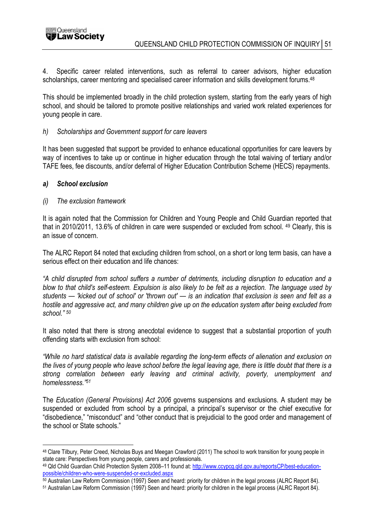

4. Specific career related interventions, such as referral to career advisors, higher education scholarships, career mentoring and specialised career information and skills development forums.<sup>48</sup>

This should be implemented broadly in the child protection system, starting from the early years of high school, and should be tailored to promote positive relationships and varied work related experiences for young people in care.

#### h) Scholarships and Government support for care leavers

It has been suggested that support be provided to enhance educational opportunities for care leavers by way of incentives to take up or continue in higher education through the total waiving of tertiary and/or TAFE fees, fee discounts, and/or deferral of Higher Education Contribution Scheme (HECS) repayments.

#### a) School exclusion

#### (i) The exclusion framework

It is again noted that the Commission for Children and Young People and Child Guardian reported that that in 2010/2011, 13.6% of children in care were suspended or excluded from school. <sup>49</sup> Clearly, this is an issue of concern.

The ALRC Report 84 noted that excluding children from school, on a short or long term basis, can have a serious effect on their education and life chances:

"A child disrupted from school suffers a number of detriments, including disruption to education and a blow to that child's self-esteem. Expulsion is also likely to be felt as a rejection. The language used by students — 'kicked out of school' or 'thrown out' — is an indication that exclusion is seen and felt as a hostile and aggressive act, and many children give up on the education system after being excluded from school." <sup>50</sup>

It also noted that there is strong anecdotal evidence to suggest that a substantial proportion of youth offending starts with exclusion from school:

"While no hard statistical data is available regarding the long-term effects of alienation and exclusion on the lives of young people who leave school before the legal leaving age, there is little doubt that there is a strong correlation between early leaving and criminal activity, poverty, unemployment and homelessness."<sup>51</sup>

The Education (General Provisions) Act 2006 governs suspensions and exclusions. A student may be suspended or excluded from school by a principal, a principal's supervisor or the chief executive for "disobedience," "misconduct" and "other conduct that is prejudicial to the good order and management of the school or State schools."

 $\overline{a}$ <sup>48</sup> Clare Tilbury, Peter Creed, Nicholas Buys and Meegan Crawford (2011) The school to work transition for young people in state care: Perspectives from young people, carers and professionals.

<sup>49</sup> Qld Child Guardian Child Protection System 2008-11 found at: http://www.ccypcg.qld.gov.au/reportsCP/best-educationpossible/children-who-were-suspended-or-excluded.aspx

<sup>50</sup> Australian Law Reform Commission (1997) Seen and heard: priority for children in the legal process (ALRC Report 84).

<sup>51</sup> Australian Law Reform Commission (1997) Seen and heard: priority for children in the legal process (ALRC Report 84).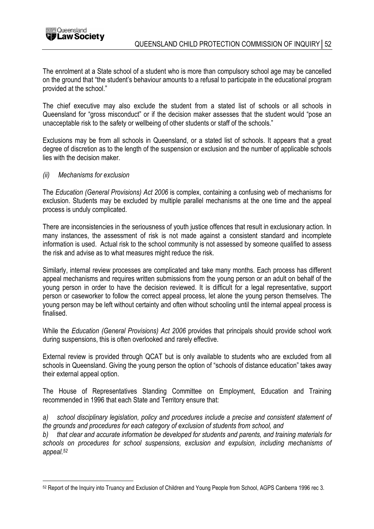

The enrolment at a State school of a student who is more than compulsory school age may be cancelled on the ground that "the student's behaviour amounts to a refusal to participate in the educational program provided at the school."

The chief executive may also exclude the student from a stated list of schools or all schools in Queensland for "gross misconduct" or if the decision maker assesses that the student would "pose an unacceptable risk to the safety or wellbeing of other students or staff of the schools."

Exclusions may be from all schools in Queensland, or a stated list of schools. It appears that a great degree of discretion as to the length of the suspension or exclusion and the number of applicable schools lies with the decision maker.

#### (ii) Mechanisms for exclusion

The Education (General Provisions) Act 2006 is complex, containing a confusing web of mechanisms for exclusion. Students may be excluded by multiple parallel mechanisms at the one time and the appeal process is unduly complicated.

There are inconsistencies in the seriousness of youth justice offences that result in exclusionary action. In many instances, the assessment of risk is not made against a consistent standard and incomplete information is used. Actual risk to the school community is not assessed by someone qualified to assess the risk and advise as to what measures might reduce the risk.

Similarly, internal review processes are complicated and take many months. Each process has different appeal mechanisms and requires written submissions from the young person or an adult on behalf of the young person in order to have the decision reviewed. It is difficult for a legal representative, support person or caseworker to follow the correct appeal process, let alone the young person themselves. The young person may be left without certainty and often without schooling until the internal appeal process is finalised.

While the Education (General Provisions) Act 2006 provides that principals should provide school work during suspensions, this is often overlooked and rarely effective.

External review is provided through QCAT but is only available to students who are excluded from all schools in Queensland. Giving the young person the option of "schools of distance education" takes away their external appeal option.

The House of Representatives Standing Committee on Employment, Education and Training recommended in 1996 that each State and Territory ensure that:

a) school disciplinary legislation, policy and procedures include a precise and consistent statement of the grounds and procedures for each category of exclusion of students from school, and

that clear and accurate information be developed for students and parents, and training materials for schools on procedures for school suspensions, exclusion and expulsion, including mechanisms of appeal.<sup>52</sup>

 $\overline{a}$ 52 Report of the Inquiry into Truancy and Exclusion of Children and Young People from School, AGPS Canberra 1996 rec 3.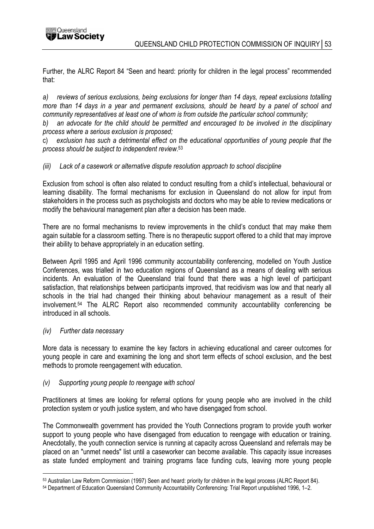Further, the ALRC Report 84 "Seen and heard: priority for children in the legal process" recommended that:

a) reviews of serious exclusions, being exclusions for longer than 14 days, repeat exclusions totalling more than 14 days in a year and permanent exclusions, should be heard by a panel of school and community representatives at least one of whom is from outside the particular school community;

b) an advocate for the child should be permitted and encouraged to be involved in the disciplinary process where a serious exclusion is proposed;

c) exclusion has such a detrimental effect on the educational opportunities of young people that the process should be subject to independent review. 53

#### (iii) Lack of a casework or alternative dispute resolution approach to school discipline

Exclusion from school is often also related to conduct resulting from a child's intellectual, behavioural or learning disability. The formal mechanisms for exclusion in Queensland do not allow for input from stakeholders in the process such as psychologists and doctors who may be able to review medications or modify the behavioural management plan after a decision has been made.

There are no formal mechanisms to review improvements in the child's conduct that may make them again suitable for a classroom setting. There is no therapeutic support offered to a child that may improve their ability to behave appropriately in an education setting.

Between April 1995 and April 1996 community accountability conferencing, modelled on Youth Justice Conferences, was trialled in two education regions of Queensland as a means of dealing with serious incidents. An evaluation of the Queensland trial found that there was a high level of participant satisfaction, that relationships between participants improved, that recidivism was low and that nearly all schools in the trial had changed their thinking about behaviour management as a result of their involvement.<sup>54</sup> The ALRC Report also recommended community accountability conferencing be introduced in all schools.

#### (iv) Further data necessary

 $\overline{a}$ 

More data is necessary to examine the key factors in achieving educational and career outcomes for young people in care and examining the long and short term effects of school exclusion, and the best methods to promote reengagement with education.

#### (v) Supporting young people to reengage with school

Practitioners at times are looking for referral options for young people who are involved in the child protection system or youth justice system, and who have disengaged from school.

The Commonwealth government has provided the Youth Connections program to provide youth worker support to young people who have disengaged from education to reengage with education or training. Anecdotally, the youth connection service is running at capacity across Queensland and referrals may be placed on an "unmet needs" list until a caseworker can become available. This capacity issue increases as state funded employment and training programs face funding cuts, leaving more young people

<sup>53</sup> Australian Law Reform Commission (1997) Seen and heard: priority for children in the legal process (ALRC Report 84).

<sup>54</sup> Department of Education Queensland Community Accountability Conferencing: Trial Report unpublished 1996, 1–2.